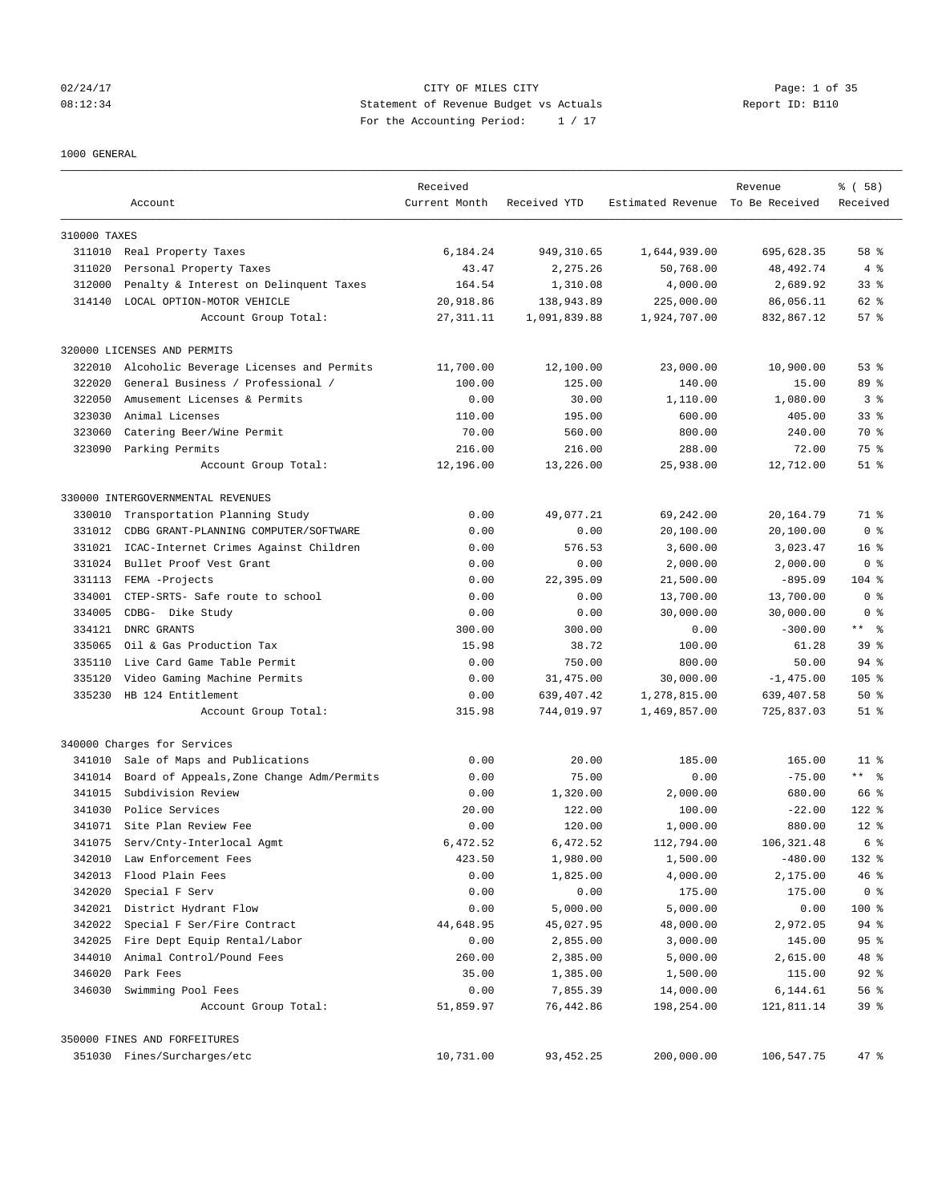## 02/24/17 Page: 1 of 35 08:12:34 Statement of Revenue Budget vs Actuals Report ID: B110 For the Accounting Period: 1 / 17

1000 GENERAL

|              | Account                                   | Received<br>Current Month | Received YTD | Estimated Revenue To Be Received | Revenue     | % ( 58 )<br>Received |
|--------------|-------------------------------------------|---------------------------|--------------|----------------------------------|-------------|----------------------|
| 310000 TAXES |                                           |                           |              |                                  |             |                      |
|              | 311010 Real Property Taxes                | 6,184.24                  | 949, 310.65  | 1,644,939.00                     | 695,628.35  | 58 %                 |
| 311020       | Personal Property Taxes                   | 43.47                     | 2,275.26     | 50,768.00                        | 48, 492. 74 | 4%                   |
| 312000       | Penalty & Interest on Delinquent Taxes    | 164.54                    | 1,310.08     | 4,000.00                         | 2,689.92    | 33 <sup>8</sup>      |
|              | 314140 LOCAL OPTION-MOTOR VEHICLE         | 20,918.86                 | 138,943.89   | 225,000.00                       | 86,056.11   | 62 %                 |
|              | Account Group Total:                      | 27, 311.11                | 1,091,839.88 | 1,924,707.00                     | 832,867.12  | 57%                  |
|              | 320000 LICENSES AND PERMITS               |                           |              |                                  |             |                      |
| 322010       | Alcoholic Beverage Licenses and Permits   | 11,700.00                 | 12,100.00    | 23,000.00                        | 10,900.00   | 53%                  |
| 322020       | General Business / Professional /         | 100.00                    | 125.00       | 140.00                           | 15.00       | 89 %                 |
| 322050       | Amusement Licenses & Permits              | 0.00                      | 30.00        | 1,110.00                         | 1,080.00    | 3 <sup>8</sup>       |
| 323030       | Animal Licenses                           | 110.00                    | 195.00       | 600.00                           | 405.00      | 33 <sup>8</sup>      |
| 323060       | Catering Beer/Wine Permit                 | 70.00                     | 560.00       | 800.00                           | 240.00      | 70 %                 |
|              | 323090 Parking Permits                    | 216.00                    | 216.00       | 288.00                           | 72.00       | 75 %                 |
|              | Account Group Total:                      | 12,196.00                 | 13,226.00    | 25,938.00                        | 12,712.00   | $51$ $\frac{6}{3}$   |
|              | 330000 INTERGOVERNMENTAL REVENUES         |                           |              |                                  |             |                      |
| 330010       | Transportation Planning Study             | 0.00                      | 49,077.21    | 69,242.00                        | 20,164.79   | 71 %                 |
| 331012       | CDBG GRANT-PLANNING COMPUTER/SOFTWARE     | 0.00                      | 0.00         | 20,100.00                        | 20,100.00   | 0 <sup>8</sup>       |
| 331021       | ICAC-Internet Crimes Against Children     | 0.00                      | 576.53       | 3,600.00                         | 3,023.47    | 16 <sup>8</sup>      |
| 331024       | Bullet Proof Vest Grant                   | 0.00                      | 0.00         | 2,000.00                         | 2,000.00    | 0 <sup>8</sup>       |
| 331113       | FEMA -Projects                            | 0.00                      | 22,395.09    | 21,500.00                        | $-895.09$   | $104$ %              |
| 334001       | CTEP-SRTS- Safe route to school           | 0.00                      | 0.00         | 13,700.00                        | 13,700.00   | 0 <sup>8</sup>       |
| 334005       | CDBG- Dike Study                          | 0.00                      | 0.00         | 30,000.00                        | 30,000.00   | 0 <sup>8</sup>       |
|              | 334121 DNRC GRANTS                        | 300.00                    | 300.00       | 0.00                             | $-300.00$   | $***$ $ -$           |
| 335065       | Oil & Gas Production Tax                  | 15.98                     | 38.72        | 100.00                           | 61.28       | 39 <sup>8</sup>      |
| 335110       | Live Card Game Table Permit               | 0.00                      | 750.00       | 800.00                           | 50.00       | $94$ %               |
| 335120       | Video Gaming Machine Permits              | 0.00                      | 31,475.00    | 30,000.00                        | $-1,475.00$ | $105$ %              |
|              | 335230 HB 124 Entitlement                 | 0.00                      | 639, 407. 42 | 1,278,815.00                     | 639,407.58  | $50*$                |
|              | Account Group Total:                      | 315.98                    | 744,019.97   | 1,469,857.00                     | 725,837.03  | $51$ %               |
|              | 340000 Charges for Services               |                           |              |                                  |             |                      |
| 341010       | Sale of Maps and Publications             | 0.00                      | 20.00        | 185.00                           | 165.00      | $11$ %               |
| 341014       | Board of Appeals, Zone Change Adm/Permits | 0.00                      | 75.00        | 0.00                             | $-75.00$    | $***$ $  -$          |
| 341015       | Subdivision Review                        | 0.00                      | 1,320.00     | 2,000.00                         | 680.00      | 66 %                 |
|              | 341030 Police Services                    | 20.00                     | 122.00       | 100.00                           | $-22.00$    | $122$ %              |
|              | 341071 Site Plan Review Fee               | 0.00                      | 120.00       | 1,000.00                         | 880.00      | $12*$                |
| 341075       | Serv/Cnty-Interlocal Agmt                 | 6.472.52                  | 6,472.52     | 112,794.00                       | 106, 321.48 | 6 %                  |
| 342010       | Law Enforcement Fees                      | 423.50                    | 1,980.00     | 1,500.00                         | $-480.00$   | 132 %                |
| 342013       | Flood Plain Fees                          | 0.00                      | 1,825.00     | 4,000.00                         | 2,175.00    | 46%                  |
| 342020       | Special F Serv                            | 0.00                      | 0.00         | 175.00                           | 175.00      | 0 <sup>8</sup>       |
|              | 342021 District Hydrant Flow              | 0.00                      | 5,000.00     | 5,000.00                         | 0.00        | 100 %                |
| 342022       | Special F Ser/Fire Contract               | 44,648.95                 | 45,027.95    | 48,000.00                        | 2,972.05    | 94 %                 |
| 342025       | Fire Dept Equip Rental/Labor              | 0.00                      | 2,855.00     | 3,000.00                         | 145.00      | 95%                  |
| 344010       | Animal Control/Pound Fees                 | 260.00                    | 2,385.00     | 5,000.00                         | 2,615.00    | 48 %                 |
| 346020       | Park Fees                                 | 35.00                     | 1,385.00     | 1,500.00                         | 115.00      | $92$ $%$             |
|              | 346030 Swimming Pool Fees                 | 0.00                      | 7,855.39     | 14,000.00                        | 6,144.61    | 56%                  |
|              | Account Group Total:                      | 51,859.97                 | 76,442.86    | 198,254.00                       | 121,811.14  | 39 <sup>8</sup>      |
|              | 350000 FINES AND FORFEITURES              |                           |              |                                  |             |                      |
|              | 351030 Fines/Surcharges/etc               | 10,731.00                 | 93, 452.25   | 200,000.00                       | 106,547.75  | 47 %                 |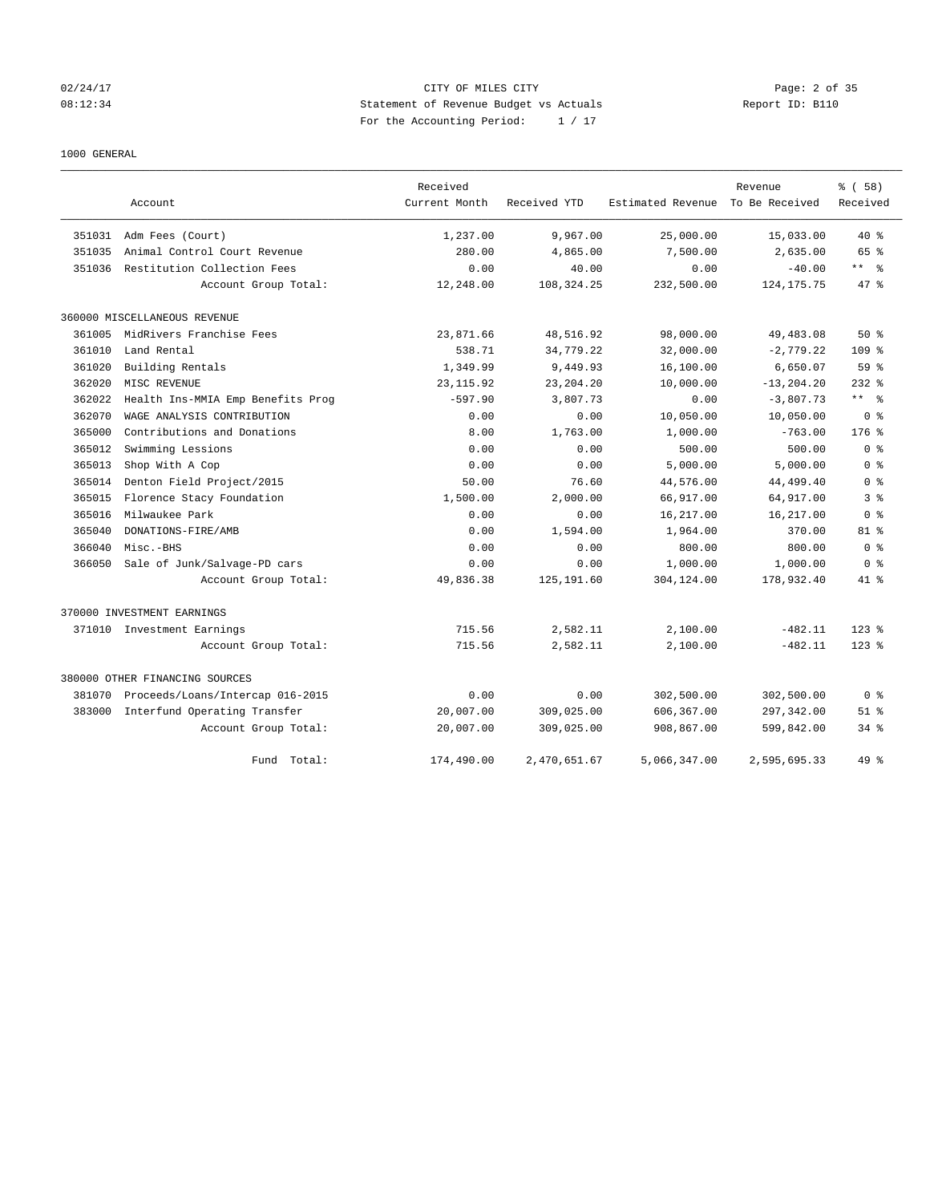## 02/24/17 CITY OF MILES CITY Page: 2 of 35 08:12:34 Statement of Revenue Budget vs Actuals Report ID: B110 For the Accounting Period: 1 / 17

### 1000 GENERAL

|        |                                   | Received      |              |                   | Revenue        | % ( 58 )           |
|--------|-----------------------------------|---------------|--------------|-------------------|----------------|--------------------|
|        | Account                           | Current Month | Received YTD | Estimated Revenue | To Be Received | Received           |
| 351031 | Adm Fees (Court)                  | 1,237.00      | 9,967.00     | 25,000.00         | 15,033.00      | $40*$              |
| 351035 | Animal Control Court Revenue      | 280.00        | 4,865.00     | 7,500.00          | 2,635.00       | 65 %               |
| 351036 | Restitution Collection Fees       | 0.00          | 40.00        | 0.00              | $-40.00$       | ** %               |
|        | Account Group Total:              | 12,248.00     | 108, 324. 25 | 232,500.00        | 124, 175. 75   | 47 %               |
|        | 360000 MISCELLANEOUS REVENUE      |               |              |                   |                |                    |
| 361005 | MidRivers Franchise Fees          | 23,871.66     | 48,516.92    | 98,000.00         | 49,483.08      | $50*$              |
| 361010 | Land Rental                       | 538.71        | 34,779.22    | 32,000.00         | $-2,779.22$    | 109 <sub>8</sub>   |
| 361020 | Building Rentals                  | 1,349.99      | 9,449.93     | 16,100.00         | 6,650.07       | 59 %               |
| 362020 | MISC REVENUE                      | 23, 115.92    | 23, 204. 20  | 10,000.00         | $-13, 204.20$  | $232$ $%$          |
| 362022 | Health Ins-MMIA Emp Benefits Prog | $-597.90$     | 3,807.73     | 0.00              | $-3,807.73$    | ** *               |
| 362070 | WAGE ANALYSIS CONTRIBUTION        | 0.00          | 0.00         | 10,050.00         | 10,050.00      | 0 <sup>8</sup>     |
| 365000 | Contributions and Donations       | 8.00          | 1,763.00     | 1,000.00          | $-763.00$      | $176$ $%$          |
| 365012 | Swimming Lessions                 | 0.00          | 0.00         | 500.00            | 500.00         | 0 <sup>8</sup>     |
| 365013 | Shop With A Cop                   | 0.00          | 0.00         | 5,000.00          | 5,000.00       | 0 <sup>8</sup>     |
| 365014 | Denton Field Project/2015         | 50.00         | 76.60        | 44,576.00         | 44,499.40      | 0 <sup>8</sup>     |
| 365015 | Florence Stacy Foundation         | 1,500.00      | 2,000.00     | 66,917.00         | 64,917.00      | 3 %                |
| 365016 | Milwaukee Park                    | 0.00          | 0.00         | 16,217.00         | 16,217.00      | 0 <sup>8</sup>     |
| 365040 | DONATIONS-FIRE/AMB                | 0.00          | 1,594.00     | 1,964.00          | 370.00         | $81$ %             |
| 366040 | Misc.-BHS                         | 0.00          | 0.00         | 800.00            | 800.00         | 0 <sup>8</sup>     |
| 366050 | Sale of Junk/Salvage-PD cars      | 0.00          | 0.00         | 1,000.00          | 1,000.00       | 0 <sup>8</sup>     |
|        | Account Group Total:              | 49,836.38     | 125, 191.60  | 304,124.00        | 178,932.40     | 41 %               |
|        | 370000 INVESTMENT EARNINGS        |               |              |                   |                |                    |
|        | 371010 Investment Earnings        | 715.56        | 2,582.11     | 2,100.00          | $-482.11$      | $123$ $%$          |
|        | Account Group Total:              | 715.56        | 2,582.11     | 2,100.00          | $-482.11$      | $123$ $%$          |
|        | 380000 OTHER FINANCING SOURCES    |               |              |                   |                |                    |
| 381070 | Proceeds/Loans/Intercap 016-2015  | 0.00          | 0.00         | 302,500.00        | 302,500.00     | 0 <sup>8</sup>     |
| 383000 | Interfund Operating Transfer      | 20,007.00     | 309,025.00   | 606,367.00        | 297,342.00     | $51$ $\frac{6}{3}$ |
|        | Account Group Total:              | 20,007.00     | 309,025.00   | 908,867.00        | 599,842.00     | $34*$              |
|        | Total:<br>Fund                    | 174,490.00    | 2,470,651.67 | 5,066,347.00      | 2,595,695.33   | $49*$              |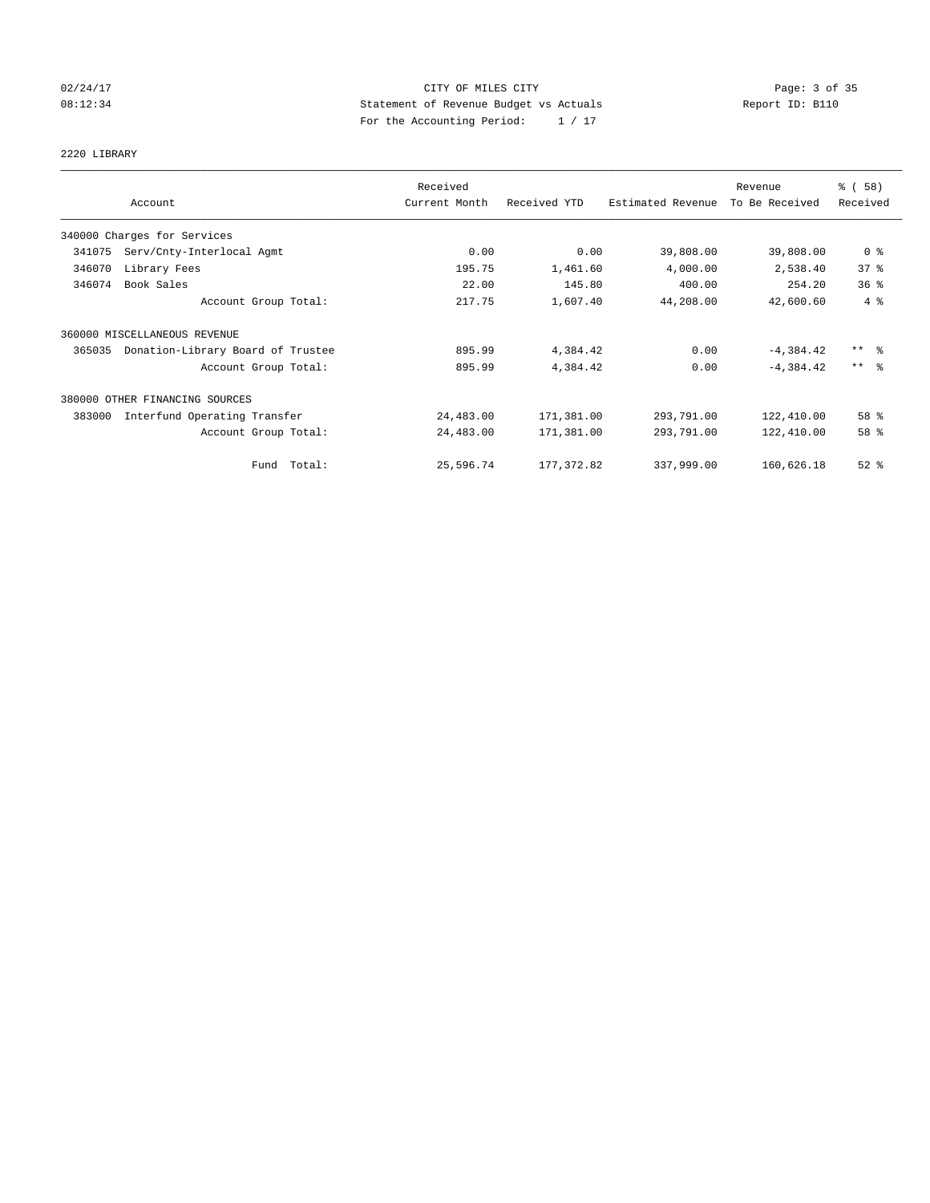## 02/24/17 CITY OF MILES CITY Page: 3 of 35 08:12:34 Statement of Revenue Budget vs Actuals Report ID: B110 For the Accounting Period: 1 / 17

2220 LIBRARY

|        |                                   | Received      |              |                   | Revenue        | % (58)                  |
|--------|-----------------------------------|---------------|--------------|-------------------|----------------|-------------------------|
|        | Account                           | Current Month | Received YTD | Estimated Revenue | To Be Received | Received                |
|        | 340000 Charges for Services       |               |              |                   |                |                         |
| 341075 | Serv/Cnty-Interlocal Agmt         | 0.00          | 0.00         | 39,808.00         | 39,808.00      | 0 <sup>8</sup>          |
| 346070 | Library Fees                      | 195.75        | 1,461.60     | 4,000.00          | 2,538.40       | 37%                     |
| 346074 | Book Sales                        | 22.00         | 145.80       | 400.00            | 254.20         | 36%                     |
|        | Account Group Total:              | 217.75        | 1,607.40     | 44,208.00         | 42,600.60      | 4%                      |
|        | 360000 MISCELLANEOUS REVENUE      |               |              |                   |                |                         |
| 365035 | Donation-Library Board of Trustee | 895.99        | 4,384.42     | 0.00              | $-4,384.42$    | $***$ $=$ $\frac{6}{5}$ |
|        | Account Group Total:              | 895.99        | 4,384.42     | 0.00              | $-4.384.42$    | $\star\star$<br>- 응     |
|        | 380000 OTHER FINANCING SOURCES    |               |              |                   |                |                         |
| 383000 | Interfund Operating Transfer      | 24,483.00     | 171,381.00   | 293,791.00        | 122,410.00     | 58 %                    |
|        | Account Group Total:              | 24,483.00     | 171,381.00   | 293,791.00        | 122,410.00     | 58 %                    |
|        | Total:<br>Fund                    | 25,596.74     | 177, 372.82  | 337,999.00        | 160,626.18     | $52$ $%$                |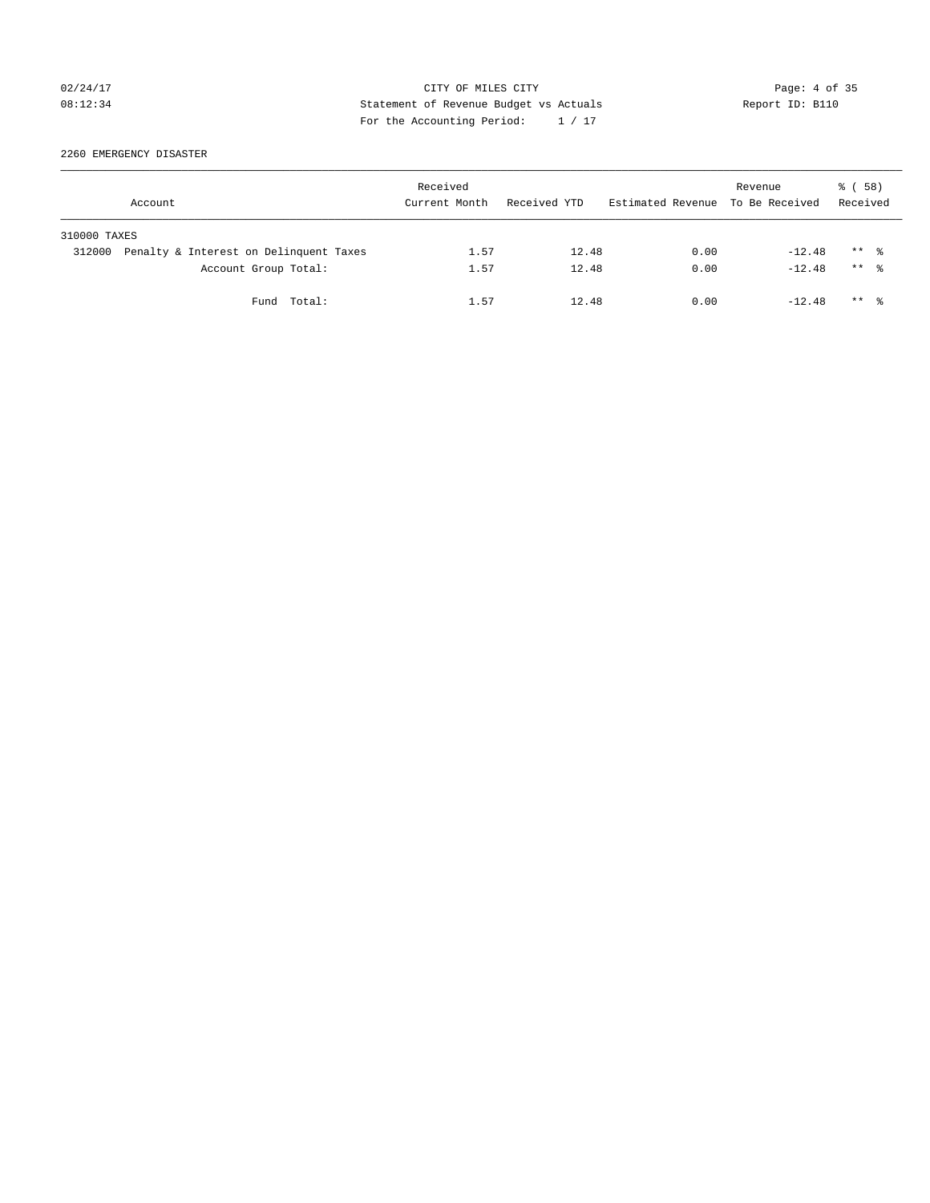## 02/24/17 CITY OF MILES CITY Page: 4 of 35 08:12:34 Statement of Revenue Budget vs Actuals Report ID: B110 For the Accounting Period: 1 / 17

2260 EMERGENCY DISASTER

|              | Account                                | Received<br>Current Month | Received YTD | Estimated Revenue To Be Received | Revenue  | 8 ( 58 )<br>Received |  |
|--------------|----------------------------------------|---------------------------|--------------|----------------------------------|----------|----------------------|--|
| 310000 TAXES |                                        |                           |              |                                  |          |                      |  |
| 312000       | Penalty & Interest on Delinquent Taxes | 1.57                      | 12.48        | 0.00                             | $-12.48$ | $***$ %              |  |
|              | Account Group Total:                   | 1.57                      | 12.48        | 0.00                             | $-12.48$ | $***$ $\frac{6}{10}$ |  |
|              | Fund Total:                            | 1.57                      | 12.48        | 0.00                             | $-12.48$ | $***$ $\frac{6}{10}$ |  |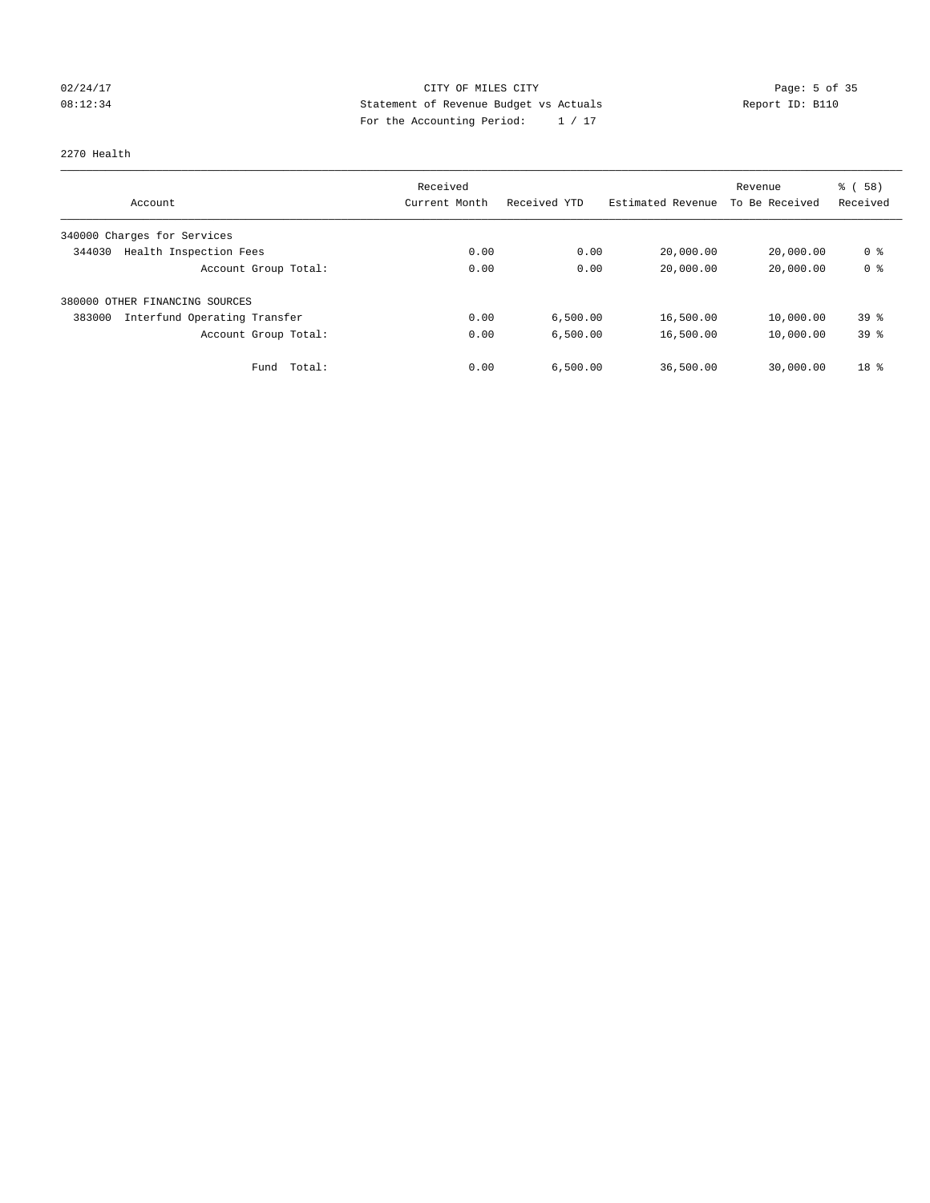## 02/24/17 Page: 5 of 35 08:12:34 Statement of Revenue Budget vs Actuals Report ID: B110 For the Accounting Period: 1 / 17

### 2270 Health

|                                        | Received      |              |                   | Revenue        | % (58)          |
|----------------------------------------|---------------|--------------|-------------------|----------------|-----------------|
| Account                                | Current Month | Received YTD | Estimated Revenue | To Be Received | Received        |
| 340000 Charges for Services            |               |              |                   |                |                 |
| Health Inspection Fees<br>344030       | 0.00          | 0.00         | 20,000.00         | 20,000.00      | 0 %             |
| Account Group Total:                   | 0.00          | 0.00         | 20,000.00         | 20,000.00      | 0 <sup>8</sup>  |
| 380000 OTHER FINANCING SOURCES         |               |              |                   |                |                 |
| Interfund Operating Transfer<br>383000 | 0.00          | 6,500.00     | 16,500.00         | 10,000.00      | 39 <sup>8</sup> |
| Account Group Total:                   | 0.00          | 6,500.00     | 16,500.00         | 10,000.00      | 39%             |
| Total:<br>Fund                         | 0.00          | 6,500.00     | 36,500.00         | 30,000.00      | 18 <sup>8</sup> |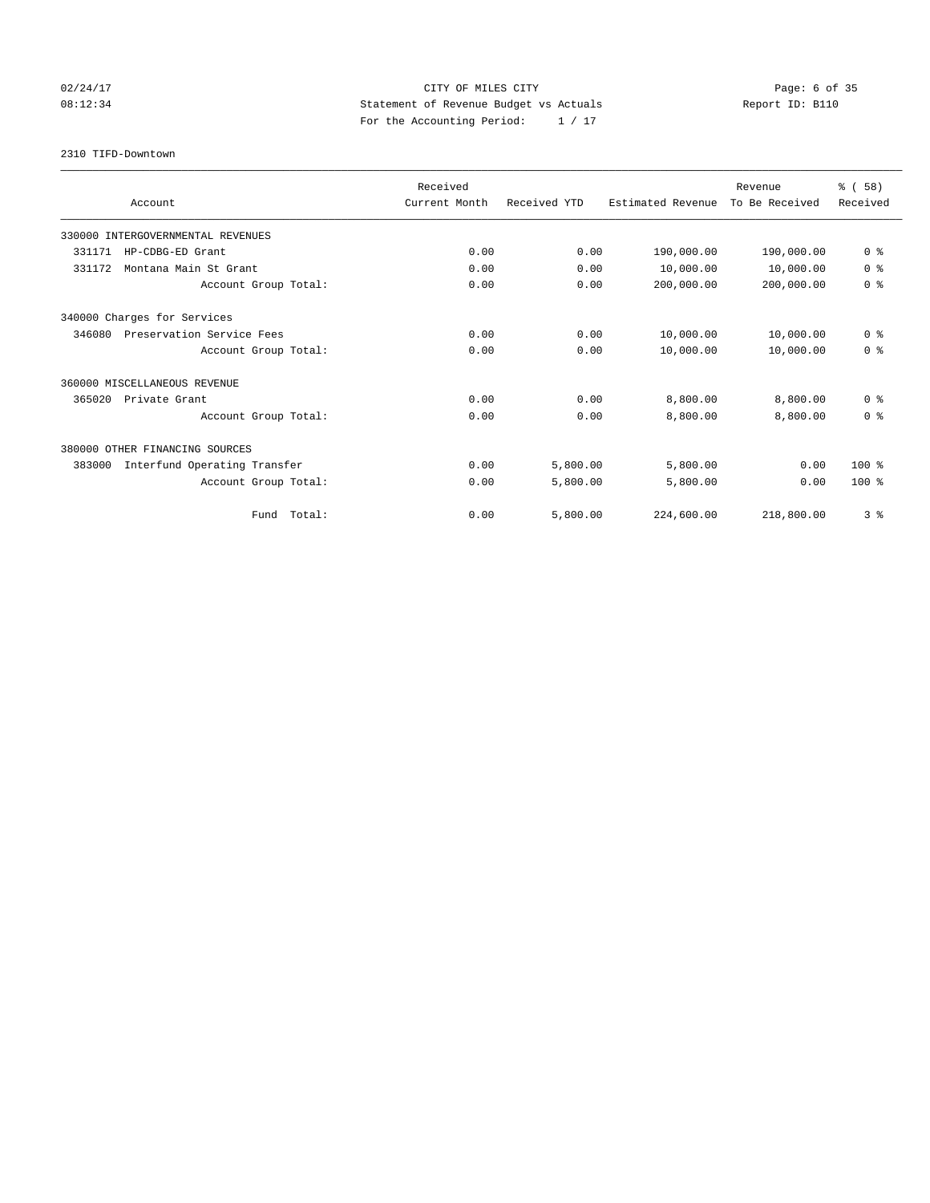## 02/24/17 CITY OF MILES CITY Page: 6 of 35 08:12:34 Statement of Revenue Budget vs Actuals Report ID: B110 For the Accounting Period: 1 / 17

2310 TIFD-Downtown

|                                        | Received      |              |                   | Revenue        | % (58)         |
|----------------------------------------|---------------|--------------|-------------------|----------------|----------------|
| Account                                | Current Month | Received YTD | Estimated Revenue | To Be Received | Received       |
| 330000 INTERGOVERNMENTAL REVENUES      |               |              |                   |                |                |
| 331171<br>HP-CDBG-ED Grant             | 0.00          | 0.00         | 190,000.00        | 190,000.00     | 0 <sup>8</sup> |
| Montana Main St Grant<br>331172        | 0.00          | 0.00         | 10,000.00         | 10,000.00      | 0 <sup>8</sup> |
| Account Group Total:                   | 0.00          | 0.00         | 200,000.00        | 200,000.00     | 0 <sup>8</sup> |
| 340000 Charges for Services            |               |              |                   |                |                |
| 346080<br>Preservation Service Fees    | 0.00          | 0.00         | 10,000.00         | 10,000.00      | 0 <sup>8</sup> |
| Account Group Total:                   | 0.00          | 0.00         | 10,000.00         | 10,000.00      | 0 <sup>8</sup> |
| 360000 MISCELLANEOUS REVENUE           |               |              |                   |                |                |
| 365020<br>Private Grant                | 0.00          | 0.00         | 8,800.00          | 8,800.00       | 0 <sup>8</sup> |
| Account Group Total:                   | 0.00          | 0.00         | 8,800.00          | 8,800.00       | 0 <sup>8</sup> |
| 380000 OTHER FINANCING SOURCES         |               |              |                   |                |                |
| 383000<br>Interfund Operating Transfer | 0.00          | 5,800.00     | 5,800.00          | 0.00           | $100*$         |
| Account Group Total:                   | 0.00          | 5,800.00     | 5,800.00          | 0.00           | $100*$         |
| Fund Total:                            | 0.00          | 5,800.00     | 224,600.00        | 218,800.00     | 3%             |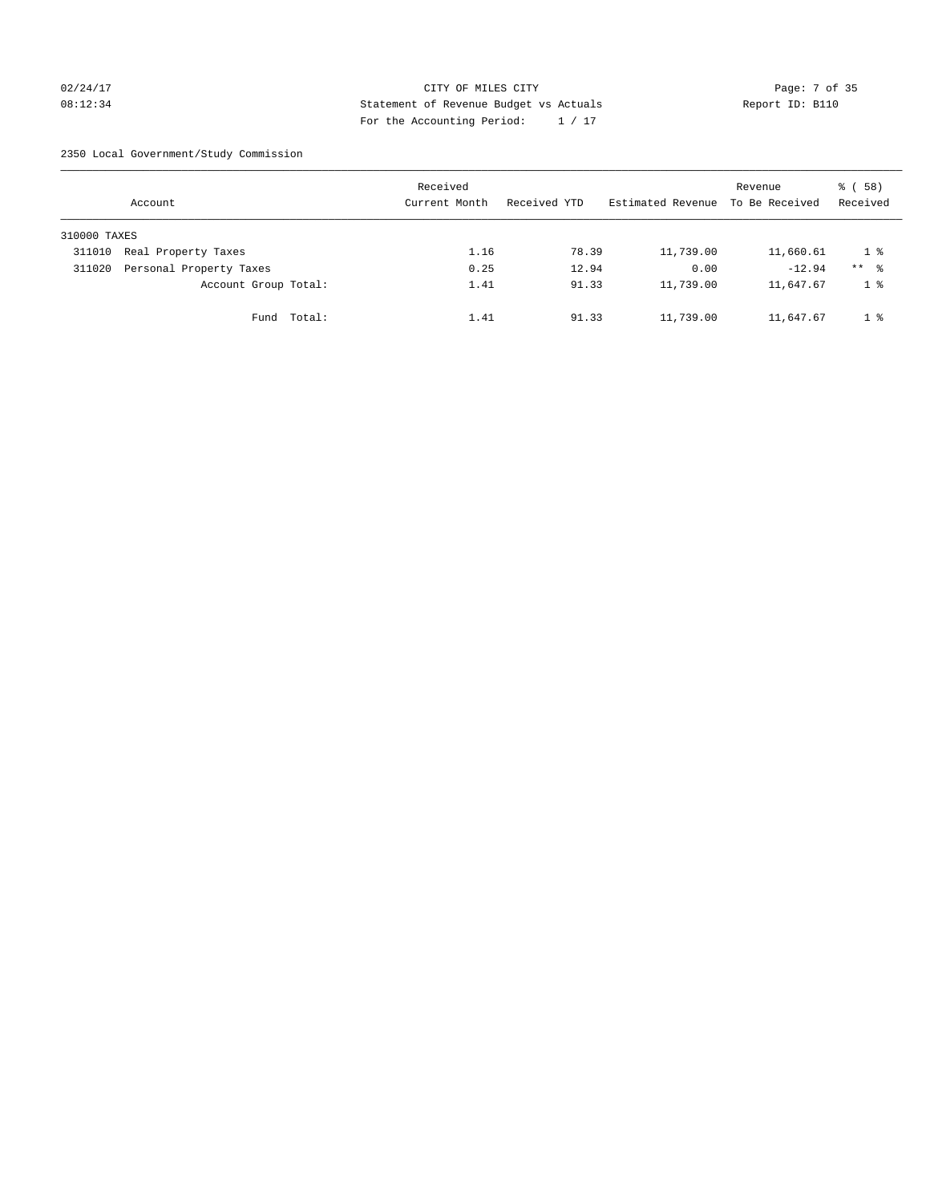## 02/24/17 Page: 7 of 35 08:12:34 Report ID: B110 For the Accounting Period: 1 / 17

2350 Local Government/Study Commission

|              | Account                 |             | Received<br>Current Month |      | Received YTD |       | Estimated Revenue To Be Received | Revenue   | 8 ( 58 )<br>Received |
|--------------|-------------------------|-------------|---------------------------|------|--------------|-------|----------------------------------|-----------|----------------------|
| 310000 TAXES |                         |             |                           |      |              |       |                                  |           |                      |
| 311010       | Real Property Taxes     |             |                           | 1.16 |              | 78.39 | 11,739.00                        | 11,660.61 | 1 %                  |
| 311020       | Personal Property Taxes |             |                           | 0.25 |              | 12.94 | 0.00                             | $-12.94$  | $***$ %              |
|              | Account Group Total:    |             |                           | 1.41 |              | 91.33 | 11,739.00                        | 11,647.67 | 1 <sup>°</sup>       |
|              |                         | Fund Total: |                           | 1.41 |              | 91.33 | 11,739.00                        | 11,647.67 | 1 %                  |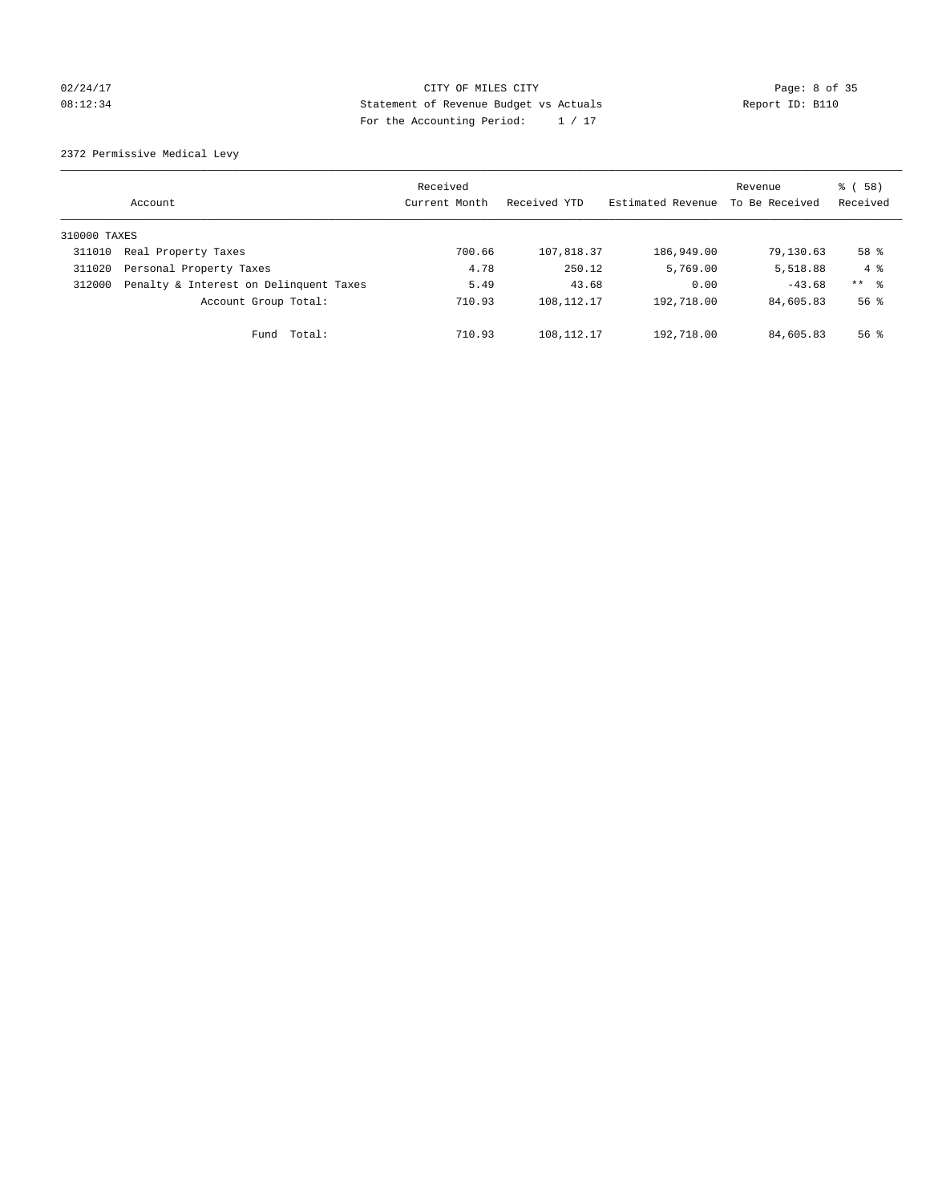## 02/24/17 CITY OF MILES CITY Page: 8 of 35 08:12:34 Statement of Revenue Budget vs Actuals Report ID: B110 For the Accounting Period: 1 / 17

2372 Permissive Medical Levy

|              | Account                                | Received<br>Current Month | Received YTD | Estimated Revenue | Revenue<br>To Be Received | 8 ( 58 )<br>Received |
|--------------|----------------------------------------|---------------------------|--------------|-------------------|---------------------------|----------------------|
| 310000 TAXES |                                        |                           |              |                   |                           |                      |
| 311010       | Real Property Taxes                    | 700.66                    | 107,818.37   | 186,949.00        | 79,130.63                 | 58 %                 |
| 311020       | Personal Property Taxes                | 4.78                      | 250.12       | 5,769.00          | 5,518.88                  | $4 \text{ }$         |
| 312000       | Penalty & Interest on Delinquent Taxes | 5.49                      | 43.68        | 0.00              | $-43.68$                  | $***$ 8              |
|              | Account Group Total:                   | 710.93                    | 108, 112. 17 | 192,718.00        | 84,605.83                 | 56 <sup>8</sup>      |
|              | Total:<br>Fund                         | 710.93                    | 108, 112. 17 | 192,718.00        | 84,605.83                 | $56$ $\frac{6}{3}$   |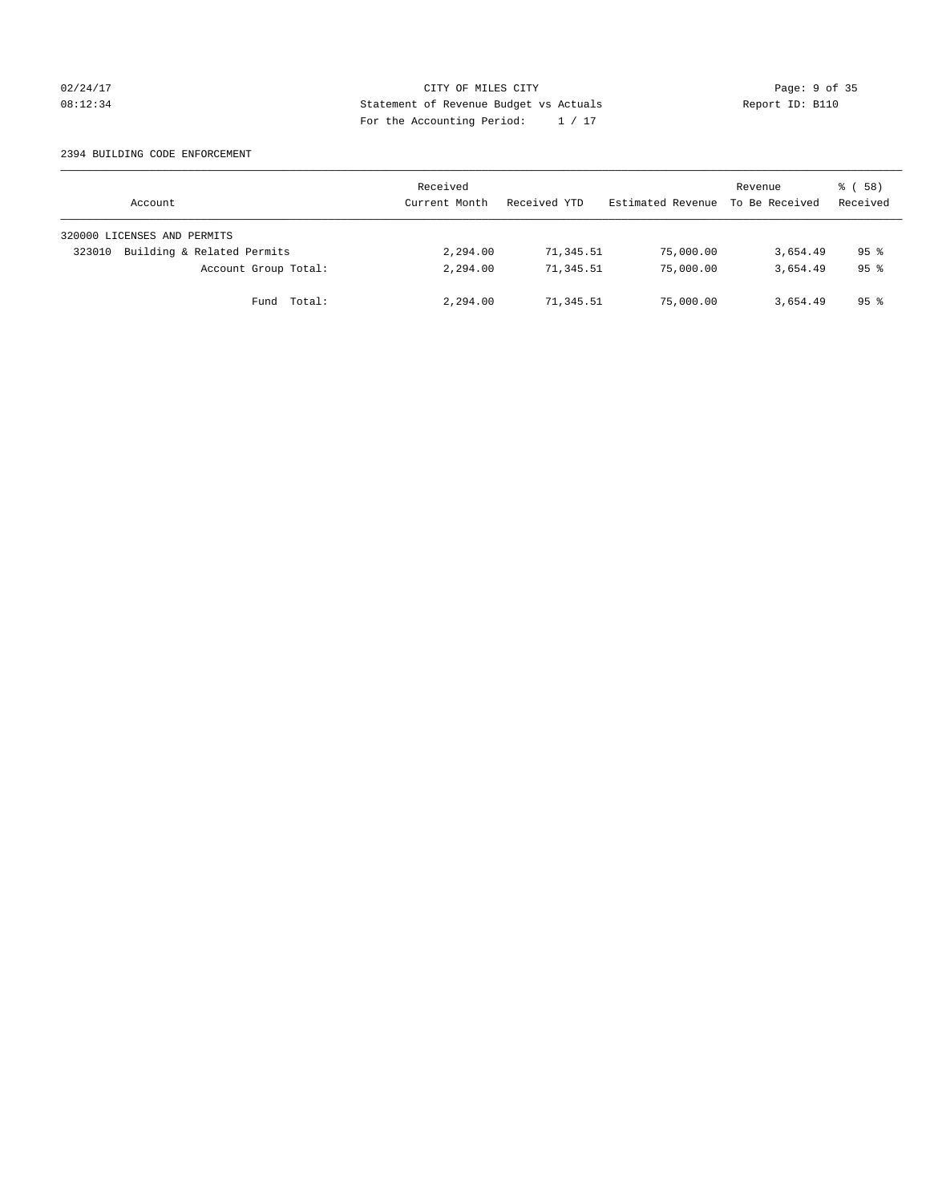## 02/24/17 CITY OF MILES CITY Page: 9 of 35 08:12:34 Report ID: B110 For the Accounting Period: 1 / 17

### 2394 BUILDING CODE ENFORCEMENT

| Account                              | Received<br>Current Month | Received YTD | Estimated Revenue | Revenue<br>To Be Received | 8 ( 58 )<br>Received |
|--------------------------------------|---------------------------|--------------|-------------------|---------------------------|----------------------|
| 320000 LICENSES AND PERMITS          |                           |              |                   |                           |                      |
| Building & Related Permits<br>323010 | 2,294.00                  | 71,345.51    | 75,000.00         | 3,654.49                  | $95$ $\frac{6}{3}$   |
| Account Group Total:                 | 2,294.00                  | 71,345.51    | 75,000.00         | 3,654.49                  | 95 <sup>8</sup>      |
| Fund Total:                          | 2,294.00                  | 71,345.51    | 75,000.00         | 3,654.49                  | 95 <sup>8</sup>      |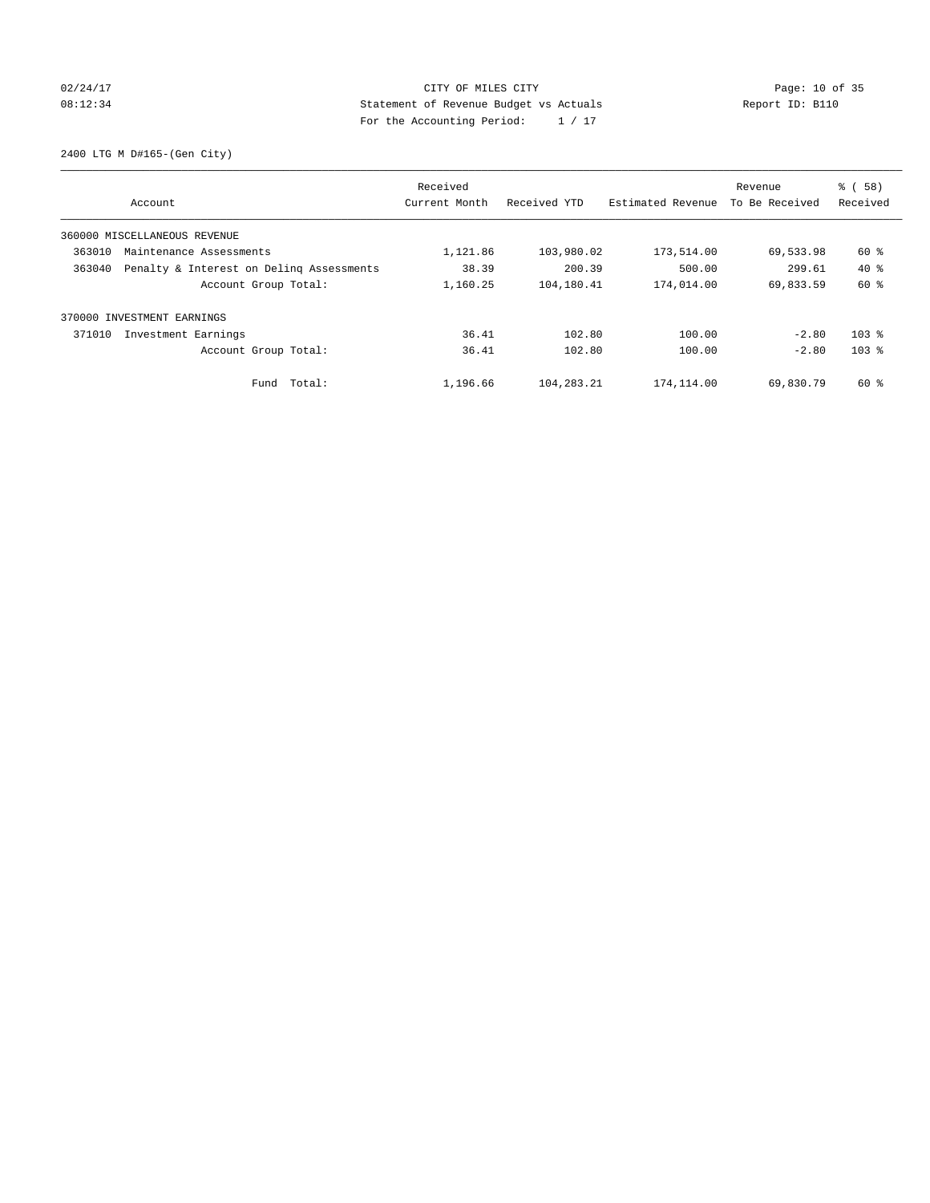## 02/24/17 Page: 10 of 35 08:12:34 Statement of Revenue Budget vs Actuals Report ID: B110 For the Accounting Period: 1 / 17

2400 LTG M D#165-(Gen City)

|        | Account                                  | Received<br>Current Month | Received YTD | Estimated Revenue | Revenue<br>To Be Received | % (58)<br>Received |
|--------|------------------------------------------|---------------------------|--------------|-------------------|---------------------------|--------------------|
|        | 360000 MISCELLANEOUS REVENUE             |                           |              |                   |                           |                    |
| 363010 | Maintenance Assessments                  | 1,121.86                  | 103,980.02   | 173,514.00        | 69,533.98                 | 60 %               |
|        |                                          |                           |              |                   |                           |                    |
| 363040 | Penalty & Interest on Deling Assessments | 38.39                     | 200.39       | 500.00            | 299.61                    | $40*$              |
|        | Account Group Total:                     | 1,160.25                  | 104,180.41   | 174,014.00        | 69,833.59                 | 60 %               |
|        | 370000 INVESTMENT EARNINGS               |                           |              |                   |                           |                    |
| 371010 | Investment Earnings                      | 36.41                     | 102.80       | 100.00            | $-2.80$                   | $103$ %            |
|        | Account Group Total:                     | 36.41                     | 102.80       | 100.00            | $-2.80$                   | 103 <sub>8</sub>   |
|        | Fund Total:                              | 1,196.66                  | 104,283.21   | 174,114.00        | 69,830.79                 | 60 %               |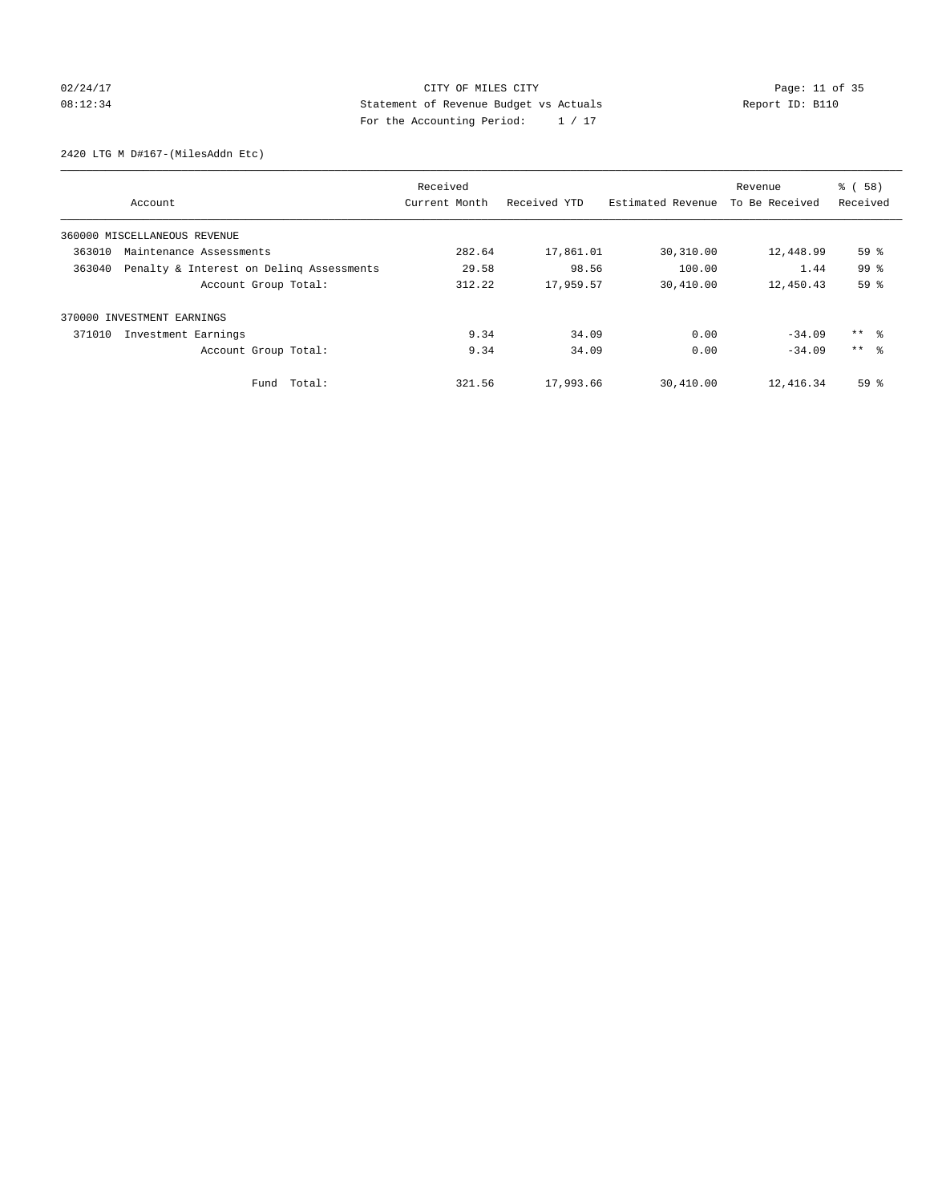## 02/24/17 Page: 11 of 35 08:12:34 Statement of Revenue Budget vs Actuals Report ID: B110 For the Accounting Period: 1 / 17

2420 LTG M D#167-(MilesAddn Etc)

|        |                                          | Received      |              |                   | Revenue        | % (58)          |
|--------|------------------------------------------|---------------|--------------|-------------------|----------------|-----------------|
|        | Account                                  | Current Month | Received YTD | Estimated Revenue | To Be Received | Received        |
|        | 360000 MISCELLANEOUS REVENUE             |               |              |                   |                |                 |
| 363010 | Maintenance Assessments                  | 282.64        | 17,861.01    | 30,310.00         | 12,448.99      | 59 <sup>°</sup> |
| 363040 | Penalty & Interest on Deling Assessments | 29.58         | 98.56        | 100.00            | 1.44           | 99 <sup>8</sup> |
|        | Account Group Total:                     | 312.22        | 17,959.57    | 30,410.00         | 12,450.43      | 59%             |
| 370000 | INVESTMENT EARNINGS                      |               |              |                   |                |                 |
| 371010 | Investment Earnings                      | 9.34          | 34.09        | 0.00              | $-34.09$       | ** 왕            |
|        | Account Group Total:                     | 9.34          | 34.09        | 0.00              | $-34.09$       | $***$ $\approx$ |
|        | Fund Total:                              | 321.56        | 17,993.66    | 30,410.00         | 12,416.34      | 59 <sup>8</sup> |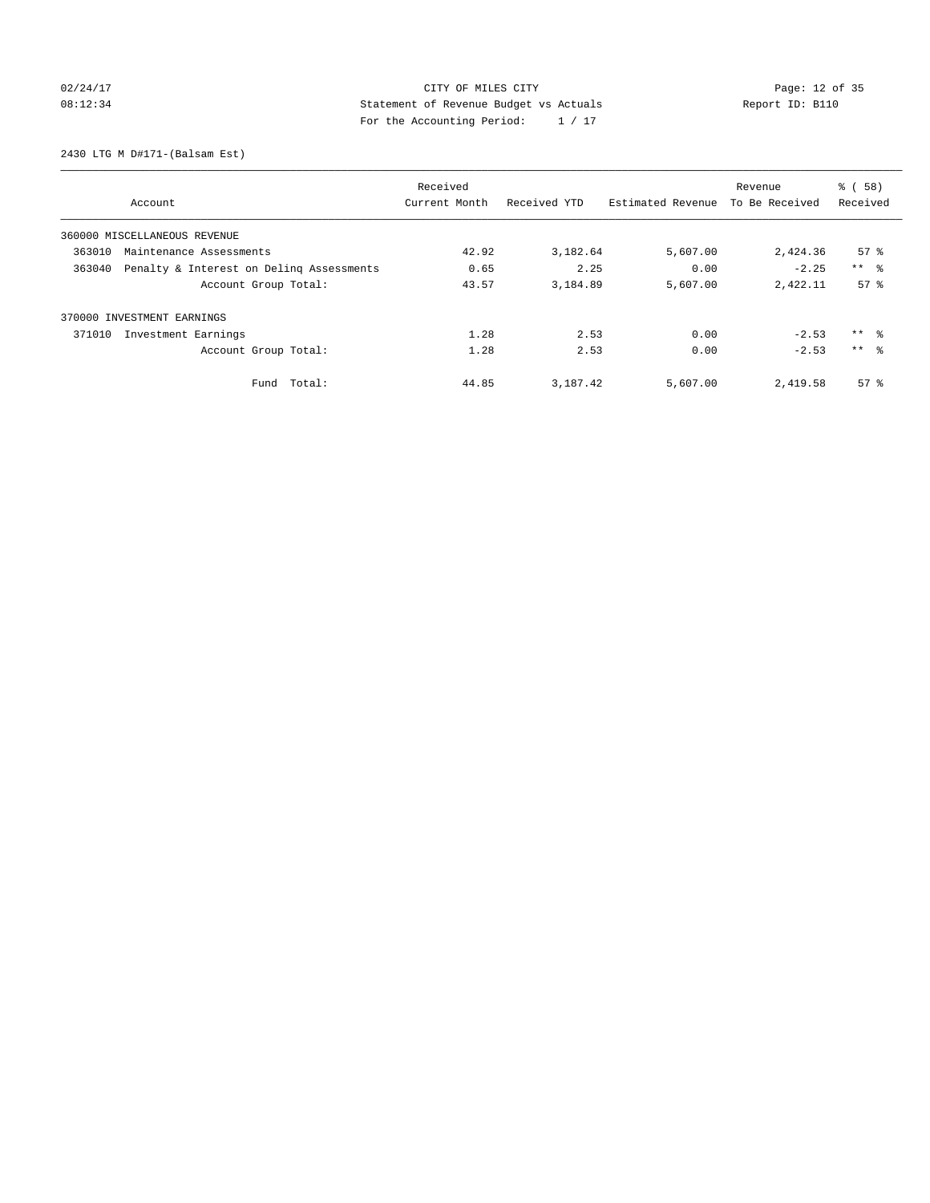# 02/24/17 Page: 12 of 35 08:12:34 Statement of Revenue Budget vs Actuals Report ID: B110 For the Accounting Period: 1 / 17

2430 LTG M D#171-(Balsam Est)

|                              |                                          | Received      |              |                   | Revenue        | % (58)              |
|------------------------------|------------------------------------------|---------------|--------------|-------------------|----------------|---------------------|
| Account                      |                                          | Current Month | Received YTD | Estimated Revenue | To Be Received | Received            |
| 360000 MISCELLANEOUS REVENUE |                                          |               |              |                   |                |                     |
| 363010                       | Maintenance Assessments                  | 42.92         | 3,182.64     | 5,607.00          | 2,424.36       | $57*$               |
| 363040                       | Penalty & Interest on Deling Assessments | 0.65          | 2.25         | 0.00              | $-2.25$        | $***$ $\approx$     |
|                              | Account Group Total:                     | 43.57         | 3,184.89     | 5,607.00          | 2,422.11       | 57 <sup>8</sup>     |
| 370000 INVESTMENT EARNINGS   |                                          |               |              |                   |                |                     |
| 371010                       | Investment Earnings                      | 1.28          | 2.53         | 0.00              | $-2.53$        | $***$ $\frac{6}{3}$ |
|                              | Account Group Total:                     | 1.28          | 2.53         | 0.00              | $-2.53$        | $***$ $\approx$     |
|                              | Fund Total:                              | 44.85         | 3,187.42     | 5,607.00          | 2,419.58       | $57*$               |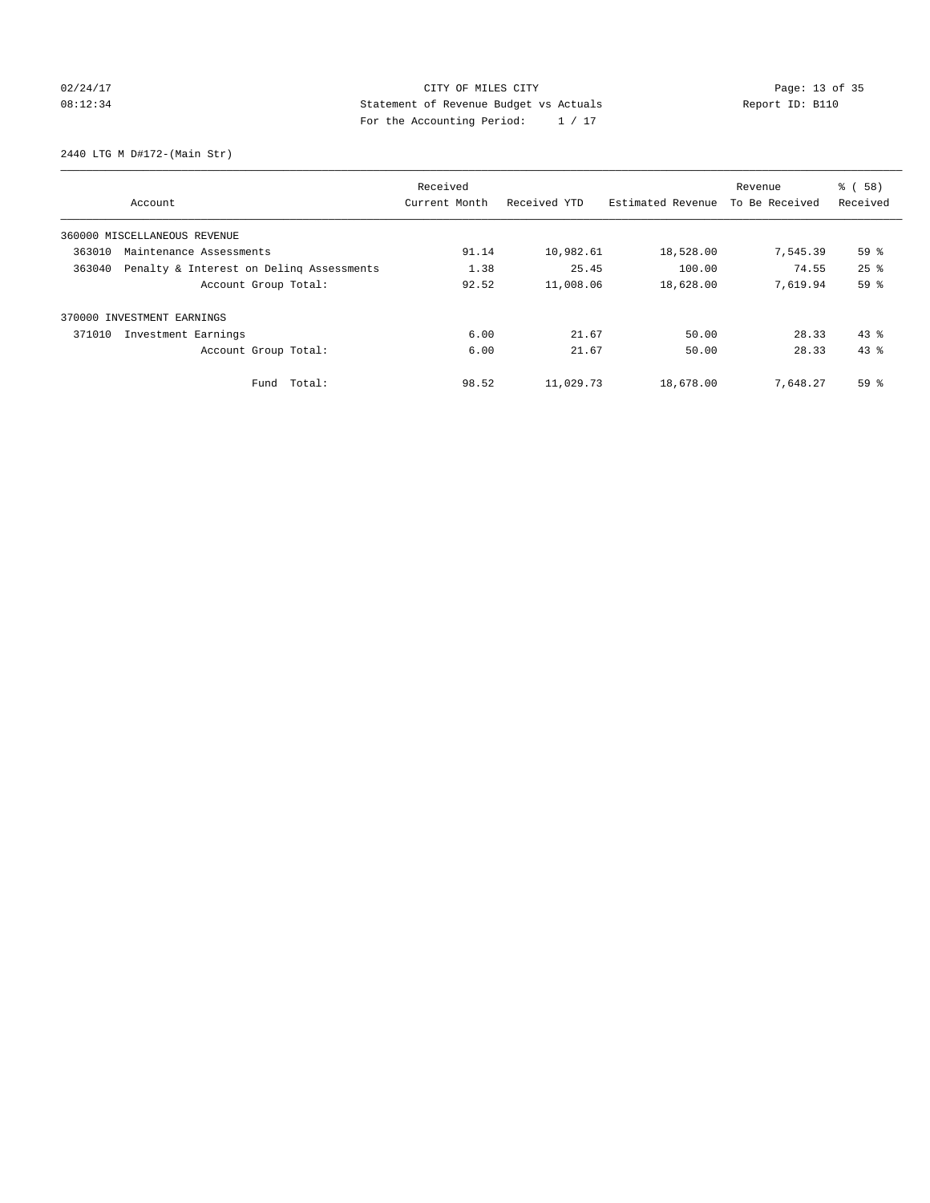# 02/24/17 Page: 13 of 35 08:12:34 Statement of Revenue Budget vs Actuals Report ID: B110 For the Accounting Period: 1 / 17

2440 LTG M D#172-(Main Str)

| Received |                                          |               |              |                   | Revenue        | % (58)          |
|----------|------------------------------------------|---------------|--------------|-------------------|----------------|-----------------|
|          | Account                                  | Current Month | Received YTD | Estimated Revenue | To Be Received | Received        |
|          | 360000 MISCELLANEOUS REVENUE             |               |              |                   |                |                 |
| 363010   | Maintenance Assessments                  | 91.14         | 10,982.61    | 18,528.00         | 7,545.39       | 59 <sup>°</sup> |
| 363040   | Penalty & Interest on Deling Assessments | 1.38          | 25.45        | 100.00            | 74.55          | $25$ $%$        |
|          | Account Group Total:                     | 92.52         | 11,008.06    | 18,628.00         | 7,619.94       | 59%             |
|          | 370000 INVESTMENT EARNINGS               |               |              |                   |                |                 |
| 371010   | Investment Earnings                      | 6.00          | 21.67        | 50.00             | 28.33          | $43$ %          |
|          | Account Group Total:                     | 6.00          | 21.67        | 50.00             | 28.33          | 43.8            |
|          | Fund Total:                              | 98.52         | 11,029.73    | 18,678.00         | 7,648.27       | 59 %            |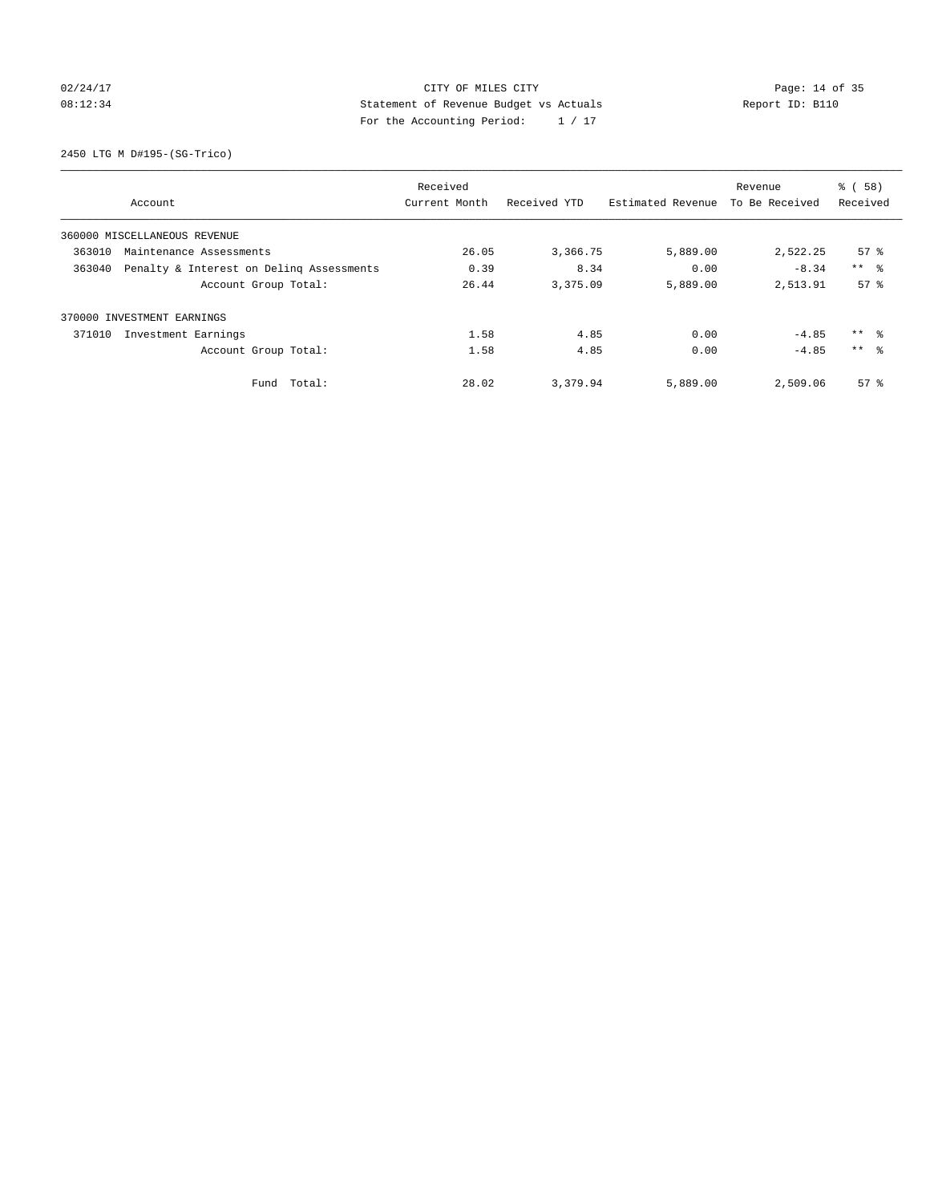## 02/24/17 Page: 14 of 35 08:12:34 Statement of Revenue Budget vs Actuals Report ID: B110 For the Accounting Period: 1 / 17

2450 LTG M D#195-(SG-Trico)

|        |                                          | Received      |              |                   | Revenue        | % (58)          |
|--------|------------------------------------------|---------------|--------------|-------------------|----------------|-----------------|
|        | Account                                  | Current Month | Received YTD | Estimated Revenue | To Be Received | Received        |
|        | 360000 MISCELLANEOUS REVENUE             |               |              |                   |                |                 |
| 363010 | Maintenance Assessments                  | 26.05         | 3,366.75     | 5,889.00          | 2,522.25       | $57*$           |
| 363040 | Penalty & Interest on Deling Assessments | 0.39          | 8.34         | 0.00              | $-8.34$        | $***$ $\approx$ |
|        | Account Group Total:                     | 26.44         | 3,375.09     | 5,889.00          | 2,513.91       | 57 <sup>8</sup> |
|        | 370000 INVESTMENT EARNINGS               |               |              |                   |                |                 |
| 371010 | Investment Earnings                      | 1.58          | 4.85         | 0.00              | $-4.85$        | $***$ $ -$      |
|        | Account Group Total:                     | 1.58          | 4.85         | 0.00              | $-4.85$        | $***$ $\approx$ |
|        | Fund Total:                              | 28.02         | 3,379.94     | 5,889.00          | 2,509.06       | $57*$           |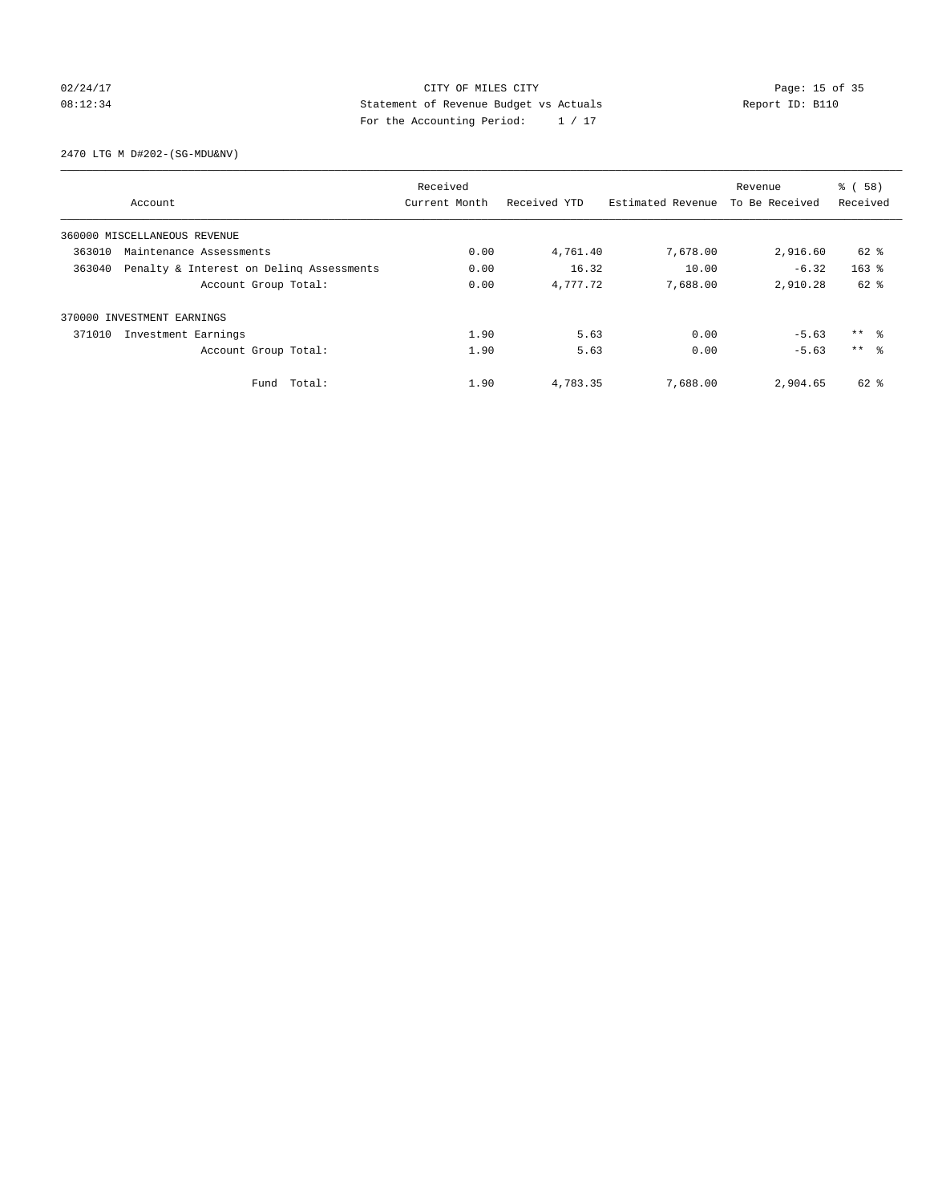## 02/24/17 Page: 15 of 35 08:12:34 Statement of Revenue Budget vs Actuals Report ID: B110 For the Accounting Period: 1 / 17

2470 LTG M D#202-(SG-MDU&NV)

|                                                    | Received      |              |                   | Revenue        | % (58)              |
|----------------------------------------------------|---------------|--------------|-------------------|----------------|---------------------|
| Account                                            | Current Month | Received YTD | Estimated Revenue | To Be Received | Received            |
| 360000 MISCELLANEOUS REVENUE                       |               |              |                   |                |                     |
| 363010<br>Maintenance Assessments                  | 0.00          | 4,761.40     | 7,678.00          | 2,916.60       | 62 %                |
| Penalty & Interest on Deling Assessments<br>363040 | 0.00          | 16.32        | 10.00             | $-6.32$        | $163$ $%$           |
| Account Group Total:                               | 0.00          | 4,777.72     | 7,688.00          | 2,910.28       | $62$ $%$            |
| 370000 INVESTMENT EARNINGS                         |               |              |                   |                |                     |
| 371010<br>Investment Earnings                      | 1.90          | 5.63         | 0.00              | $-5.63$        | $***$ $\frac{6}{3}$ |
| Account Group Total:                               | 1.90          | 5.63         | 0.00              | $-5.63$        | $***$ $\approx$     |
| Total:<br>Fund                                     | 1.90          | 4,783.35     | 7,688.00          | 2,904.65       | 62 %                |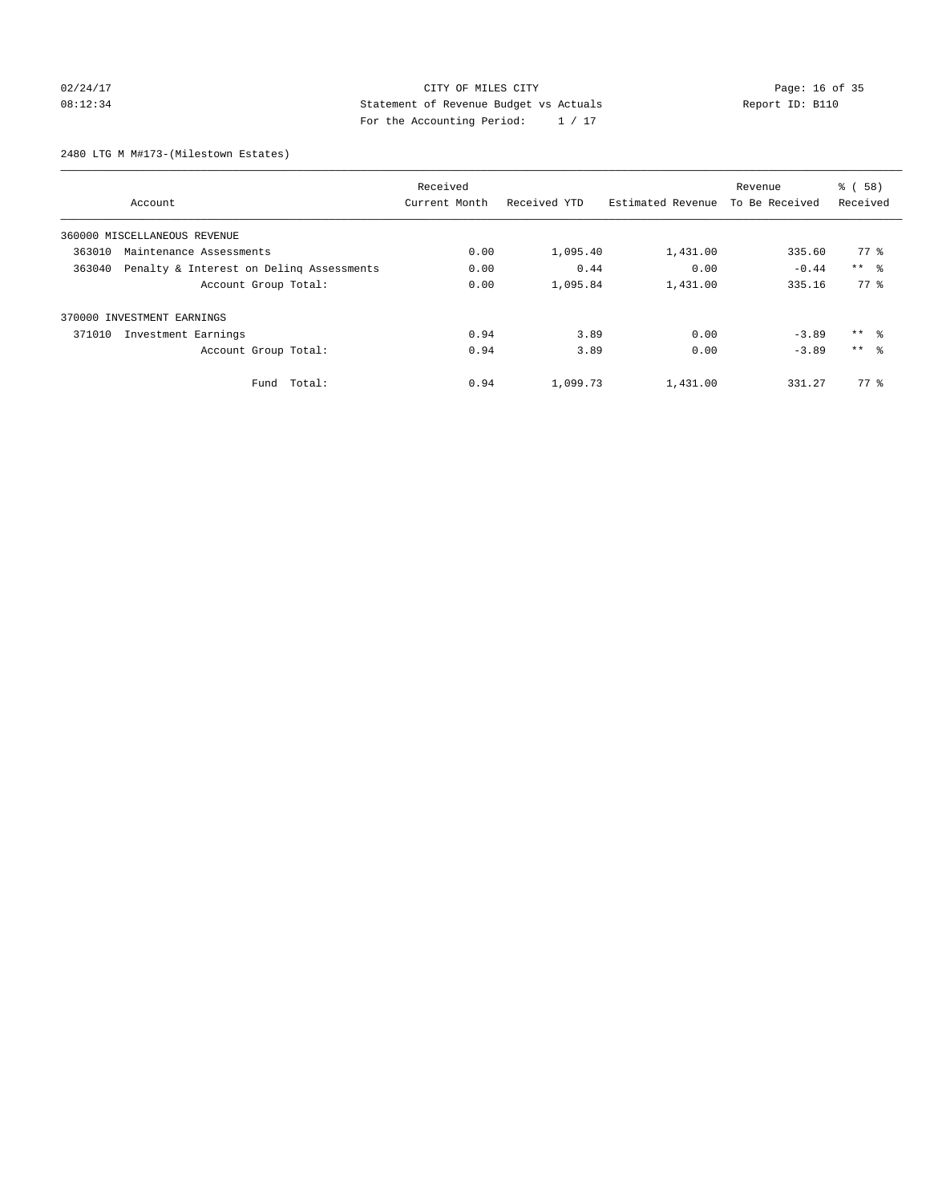## 02/24/17 Page: 16 of 35 08:12:34 Statement of Revenue Budget vs Actuals Report ID: B110 For the Accounting Period: 1 / 17

2480 LTG M M#173-(Milestown Estates)

|                                                    |               | Revenue      | % (58)            |                |                 |
|----------------------------------------------------|---------------|--------------|-------------------|----------------|-----------------|
| Account                                            | Current Month | Received YTD | Estimated Revenue | To Be Received | Received        |
| 360000 MISCELLANEOUS REVENUE                       |               |              |                   |                |                 |
| 363010<br>Maintenance Assessments                  | 0.00          | 1,095.40     | 1,431.00          | 335.60         | 77 %            |
| 363040<br>Penalty & Interest on Deling Assessments | 0.00          | 0.44         | 0.00              | $-0.44$        | $***$ $ -$      |
| Account Group Total:                               | 0.00          | 1,095.84     | 1,431.00          | 335.16         | 77.8            |
| 370000 INVESTMENT EARNINGS                         |               |              |                   |                |                 |
| 371010<br>Investment Earnings                      | 0.94          | 3.89         | 0.00              | $-3.89$        | ** 왕            |
| Account Group Total:                               | 0.94          | 3.89         | 0.00              | $-3.89$        | $***$ $\approx$ |
| Total:<br>Fund                                     | 0.94          | 1,099.73     | 1,431.00          | 331.27         | $77*$           |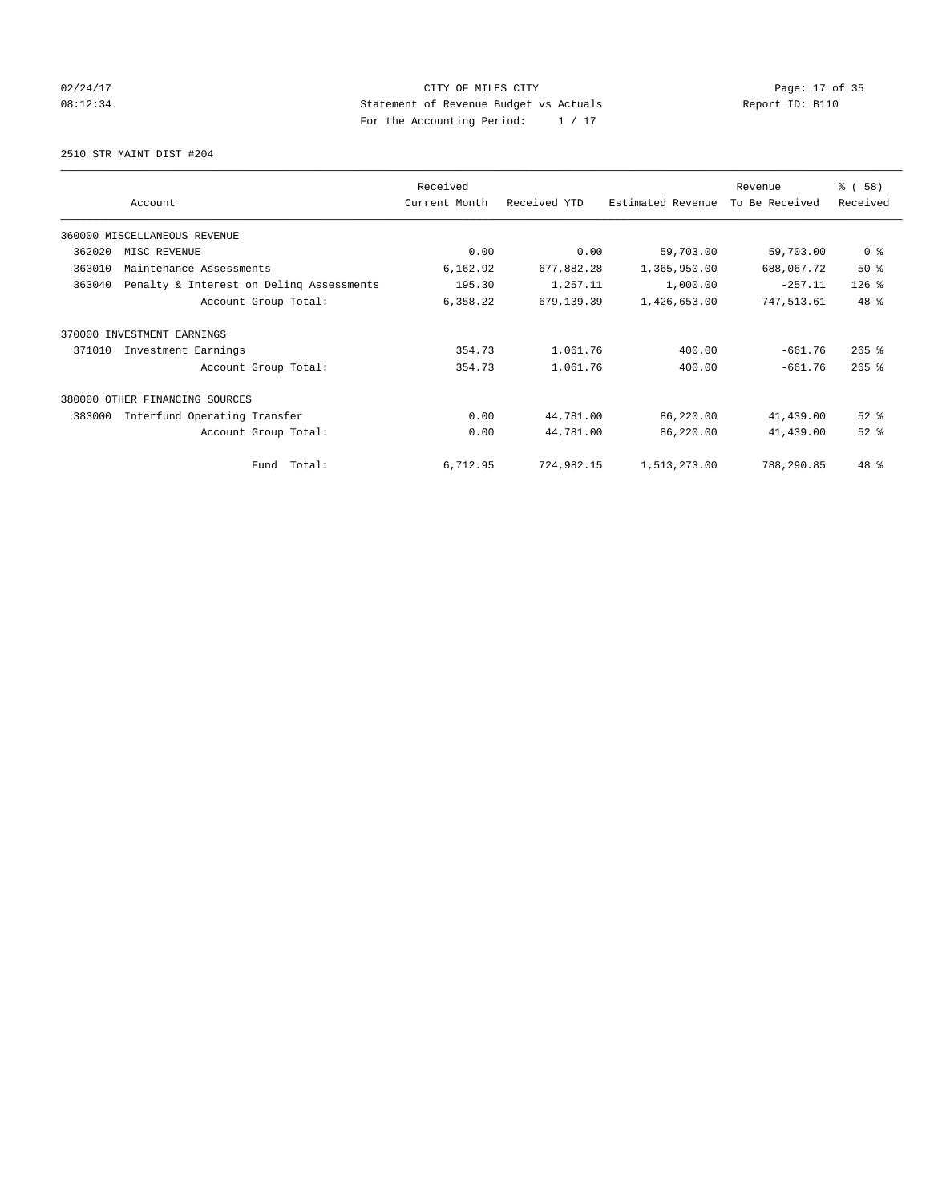## 02/24/17 Page: 17 of 35 08:12:34 Statement of Revenue Budget vs Actuals Report ID: B110 For the Accounting Period: 1 / 17

2510 STR MAINT DIST #204

|        |                                          | Received      |              |                   | Revenue        | % (58)              |
|--------|------------------------------------------|---------------|--------------|-------------------|----------------|---------------------|
|        | Account                                  | Current Month | Received YTD | Estimated Revenue | To Be Received | Received            |
|        | 360000 MISCELLANEOUS REVENUE             |               |              |                   |                |                     |
| 362020 | MISC REVENUE                             | 0.00          | 0.00         | 59,703.00         | 59,703.00      | 0 <sup>8</sup>      |
| 363010 | Maintenance Assessments                  | 6,162.92      | 677,882.28   | 1,365,950.00      | 688,067.72     | 50%                 |
| 363040 | Penalty & Interest on Deling Assessments | 195.30        | 1,257.11     | 1,000.00          | $-257.11$      | $126$ %             |
|        | Account Group Total:                     | 6,358.22      | 679,139.39   | 1,426,653.00      | 747,513.61     | 48 %                |
| 370000 | INVESTMENT EARNINGS                      |               |              |                   |                |                     |
| 371010 | Investment Earnings                      | 354.73        | 1,061.76     | 400.00            | $-661.76$      | $265$ $\frac{6}{3}$ |
|        | Account Group Total:                     | 354.73        | 1,061.76     | 400.00            | $-661.76$      | $265$ $%$           |
|        | 380000 OTHER FINANCING SOURCES           |               |              |                   |                |                     |
| 383000 | Interfund Operating Transfer             | 0.00          | 44,781.00    | 86,220.00         | 41,439.00      | $52$ $%$            |
|        | Account Group Total:                     | 0.00          | 44,781.00    | 86,220.00         | 41,439.00      | $52$ $%$            |
|        | Fund Total:                              | 6,712.95      | 724,982.15   | 1,513,273.00      | 788,290.85     | 48 %                |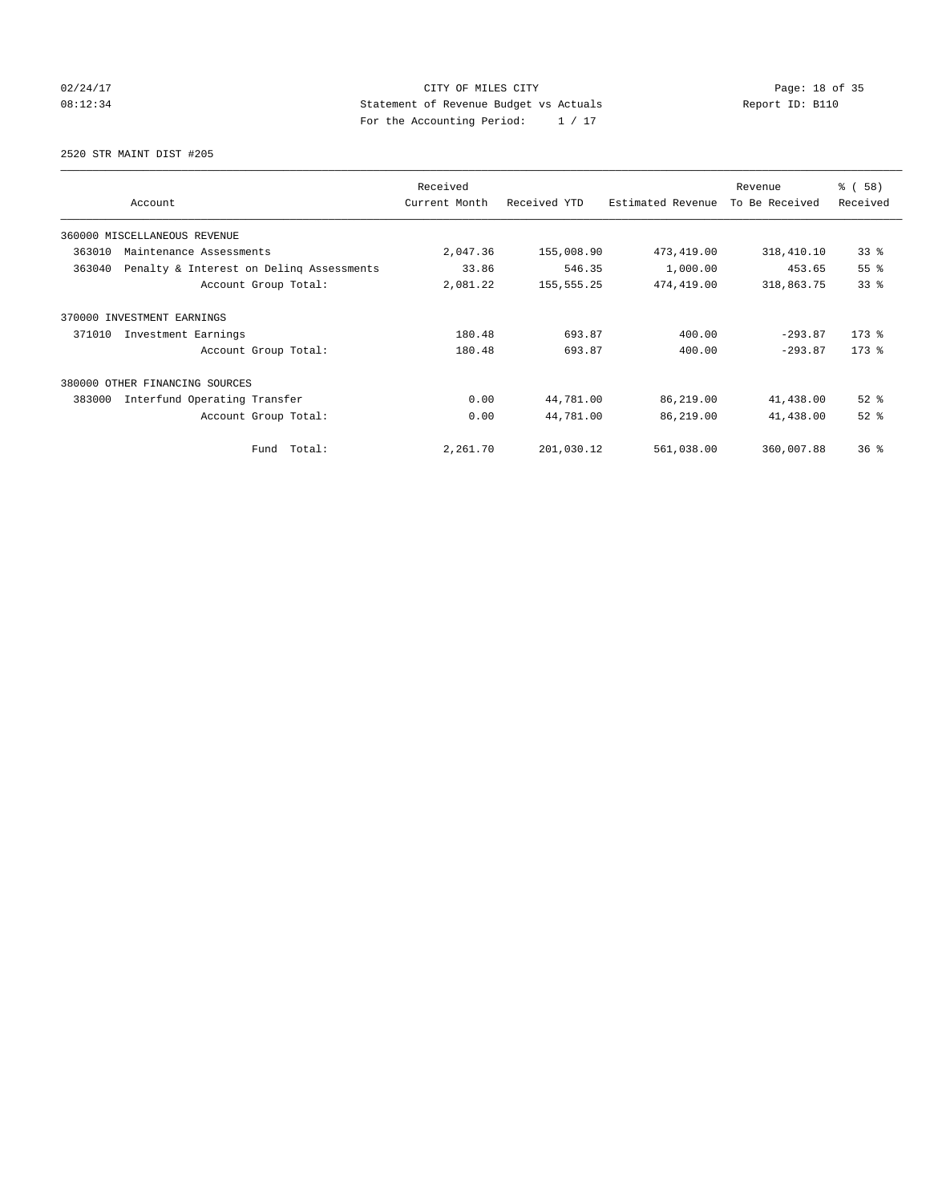## 02/24/17 Page: 18 of 35 08:12:34 Statement of Revenue Budget vs Actuals Report ID: B110 For the Accounting Period: 1 / 17

2520 STR MAINT DIST #205

|                                                    | Received      |              |                   | Revenue        | % (58)    |
|----------------------------------------------------|---------------|--------------|-------------------|----------------|-----------|
| Account                                            | Current Month | Received YTD | Estimated Revenue | To Be Received | Received  |
| 360000 MISCELLANEOUS REVENUE                       |               |              |                   |                |           |
| 363010<br>Maintenance Assessments                  | 2,047.36      | 155,008.90   | 473,419.00        | 318,410.10     | 33%       |
| 363040<br>Penalty & Interest on Deling Assessments | 33.86         | 546.35       | 1,000.00          | 453.65         | 55%       |
| Account Group Total:                               | 2,081.22      | 155, 555.25  | 474,419.00        | 318,863.75     | 33%       |
| 370000 INVESTMENT EARNINGS                         |               |              |                   |                |           |
| 371010<br>Investment Earnings                      | 180.48        | 693.87       | 400.00            | $-293.87$      | $173$ $%$ |
| Account Group Total:                               | 180.48        | 693.87       | 400.00            | $-293.87$      | $173$ $%$ |
| 380000<br>OTHER FINANCING SOURCES                  |               |              |                   |                |           |
| 383000<br>Interfund Operating Transfer             | 0.00          | 44,781.00    | 86,219.00         | 41,438.00      | $52$ $%$  |
| Account Group Total:                               | 0.00          | 44,781.00    | 86,219.00         | 41,438.00      | $52$ $%$  |
| Fund Total:                                        | 2,261.70      | 201,030.12   | 561,038.00        | 360,007.88     | 36%       |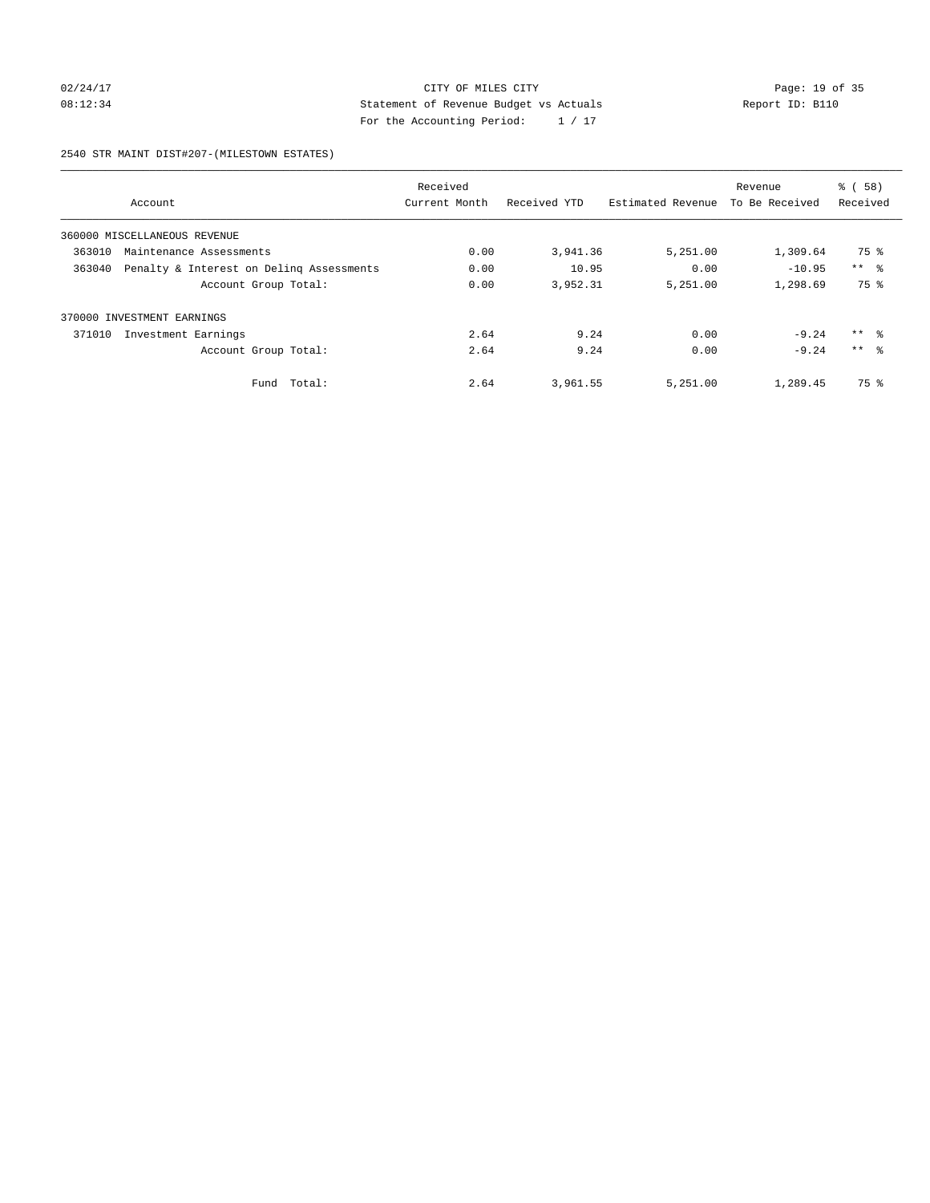## 02/24/17 Page: 19 of 35 08:12:34 Report ID: B110 For the Accounting Period: 1 / 17

2540 STR MAINT DIST#207-(MILESTOWN ESTATES)

|        |                                          | Received      |              |                   | Revenue        | % (58)              |
|--------|------------------------------------------|---------------|--------------|-------------------|----------------|---------------------|
|        | Account                                  | Current Month | Received YTD | Estimated Revenue | To Be Received | Received            |
|        | 360000 MISCELLANEOUS REVENUE             |               |              |                   |                |                     |
| 363010 | Maintenance Assessments                  | 0.00          | 3,941.36     | 5,251.00          | 1,309.64       | 75 %                |
| 363040 | Penalty & Interest on Deling Assessments | 0.00          | 10.95        | 0.00              | $-10.95$       | $***$ $\approx$     |
|        | Account Group Total:                     | 0.00          | 3,952.31     | 5,251.00          | 1,298.69       | 75 %                |
|        | 370000 INVESTMENT EARNINGS               |               |              |                   |                |                     |
| 371010 | Investment Earnings                      | 2.64          | 9.24         | 0.00              | $-9.24$        | $***$ $\frac{6}{3}$ |
|        | Account Group Total:                     | 2.64          | 9.24         | 0.00              | $-9.24$        | $***$ $\approx$     |
|        | Total:<br>Fund                           | 2.64          | 3,961.55     | 5,251.00          | 1,289.45       | 75 %                |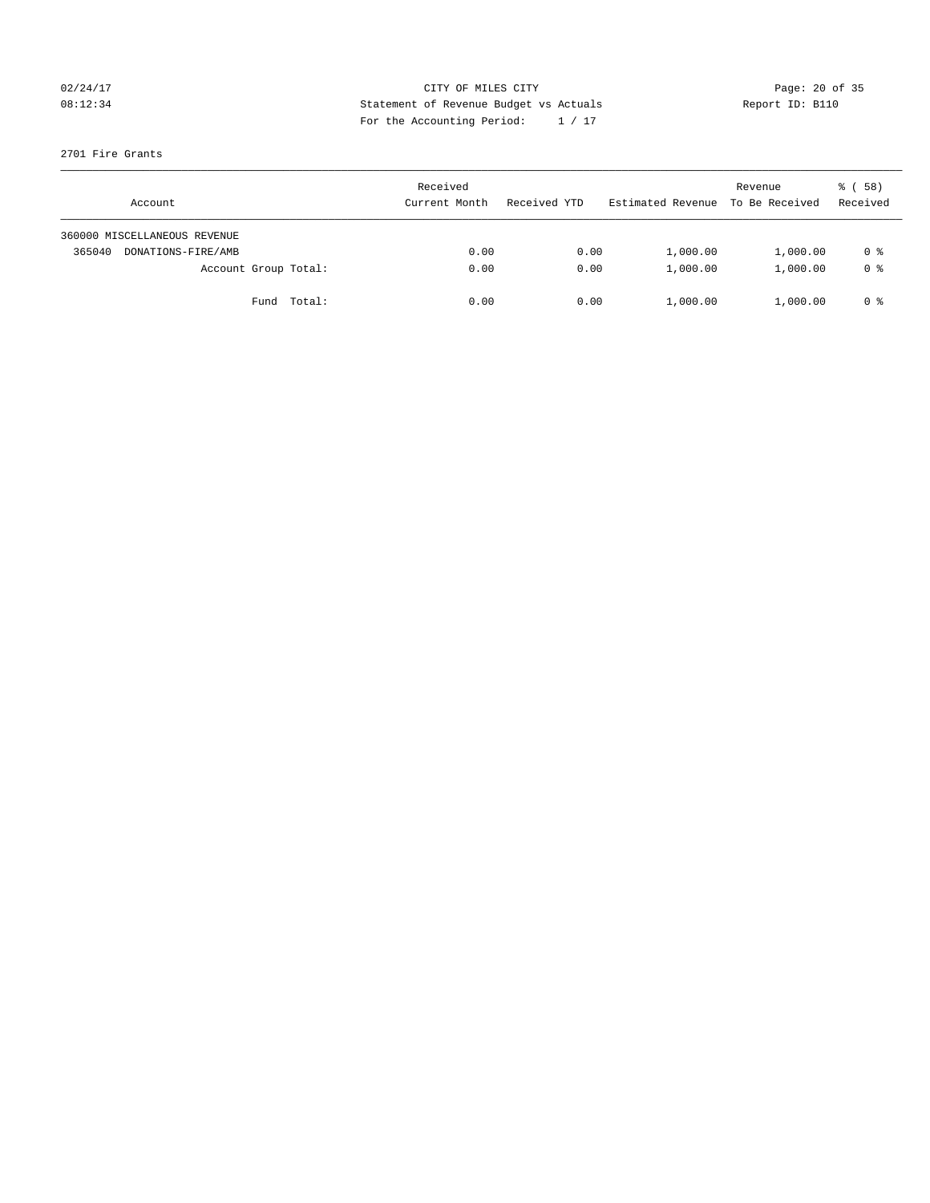## 02/24/17 Page: 20 of 35 08:12:34 Report ID: B110 For the Accounting Period: 1 / 17

### 2701 Fire Grants

| Account                      | Received<br>Current Month | Received YTD | Estimated Revenue | Revenue<br>To Be Received | 8 ( 58 )<br>Received |
|------------------------------|---------------------------|--------------|-------------------|---------------------------|----------------------|
| 360000 MISCELLANEOUS REVENUE |                           |              |                   |                           |                      |
| 365040<br>DONATIONS-FIRE/AMB | 0.00                      | 0.00         | 1,000.00          | 1,000.00                  | 0 %                  |
| Account Group Total:         | 0.00                      | 0.00         | 1,000.00          | 1,000.00                  | 0 <sup>8</sup>       |
| Fund Total:                  | 0.00                      | 0.00         | 1,000.00          | 1,000.00                  | 0 %                  |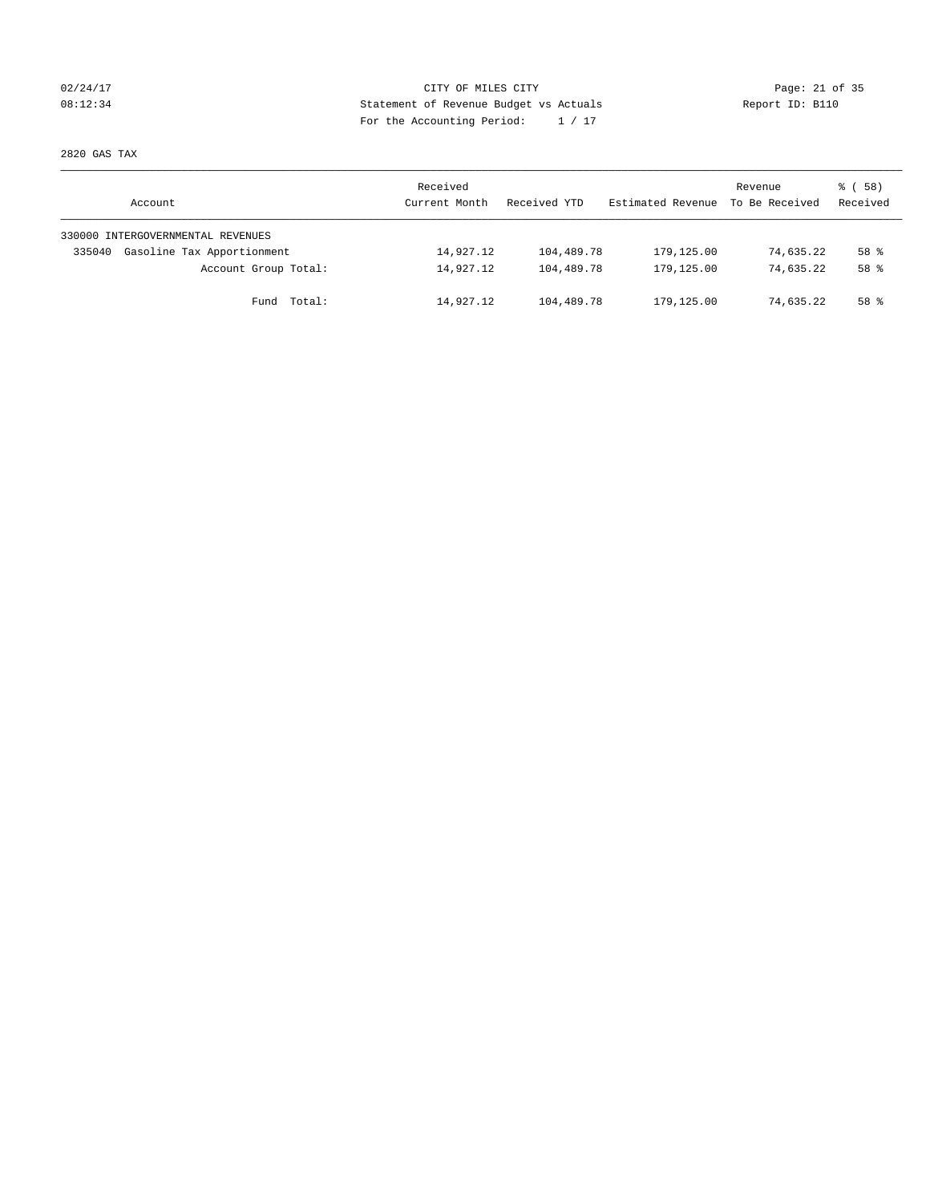## 02/24/17 Page: 21 of 35 08:12:34 Report ID: B110 For the Accounting Period: 1 / 17

2820 GAS TAX

| Account                              | Received<br>Current Month | Received YTD | Estimated Revenue | Revenue<br>To Be Received | 8 ( 58 )<br>Received |
|--------------------------------------|---------------------------|--------------|-------------------|---------------------------|----------------------|
| 330000 INTERGOVERNMENTAL REVENUES    |                           |              |                   |                           |                      |
| Gasoline Tax Apportionment<br>335040 | 14,927.12                 | 104,489.78   | 179,125.00        | 74,635.22                 | 58 <sup>8</sup>      |
| Account Group Total:                 | 14,927.12                 | 104,489.78   | 179,125.00        | 74,635.22                 | 58 <sup>8</sup>      |
| Fund Total:                          | 14,927.12                 | 104,489.78   | 179,125.00        | 74,635.22                 | 58 %                 |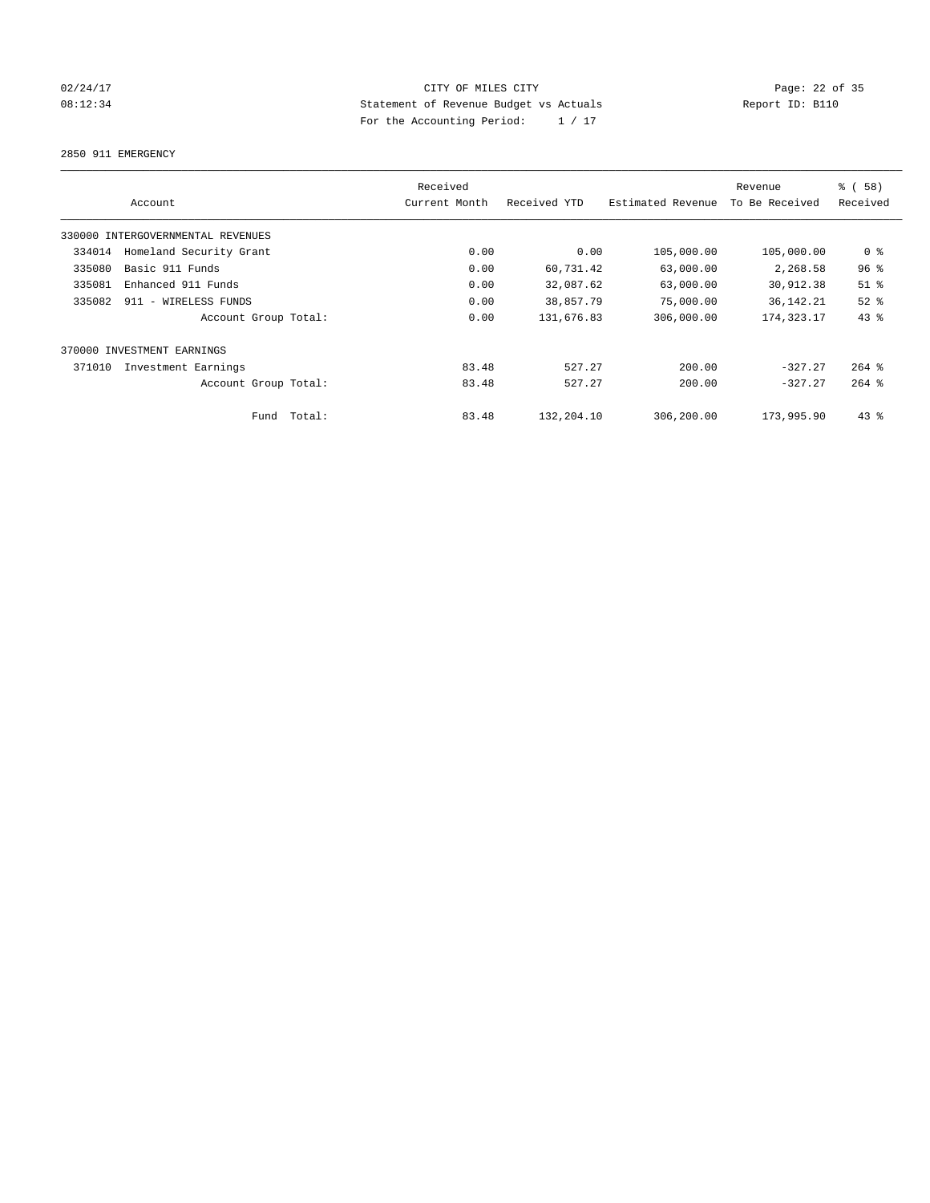## 02/24/17 Page: 22 of 35 08:12:34 Statement of Revenue Budget vs Actuals Report ID: B110 For the Accounting Period: 1 / 17

2850 911 EMERGENCY

|        |                                   |             | Received      |              |                   | Revenue        | % (58)          |
|--------|-----------------------------------|-------------|---------------|--------------|-------------------|----------------|-----------------|
|        | Account                           |             | Current Month | Received YTD | Estimated Revenue | To Be Received | Received        |
|        | 330000 INTERGOVERNMENTAL REVENUES |             |               |              |                   |                |                 |
| 334014 | Homeland Security Grant           |             | 0.00          | 0.00         | 105,000.00        | 105,000.00     | 0 %             |
| 335080 | Basic 911 Funds                   |             | 0.00          | 60,731.42    | 63,000.00         | 2,268.58       | 96 <sup>°</sup> |
| 335081 | Enhanced 911 Funds                |             | 0.00          | 32,087.62    | 63,000.00         | 30,912.38      | $51$ %          |
| 335082 | 911 - WIRELESS FUNDS              |             | 0.00          | 38,857.79    | 75,000.00         | 36, 142. 21    | $52$ $%$        |
|        | Account Group Total:              |             | 0.00          | 131,676.83   | 306,000.00        | 174, 323. 17   | $43$ $%$        |
|        | 370000 INVESTMENT EARNINGS        |             |               |              |                   |                |                 |
| 371010 | Investment Earnings               |             | 83.48         | 527.27       | 200.00            | $-327.27$      | $264$ $%$       |
|        | Account Group Total:              |             | 83.48         | 527.27       | 200.00            | $-327.27$      | $264$ $%$       |
|        |                                   | Fund Total: | 83.48         | 132,204.10   | 306,200.00        | 173,995.90     | $43*$           |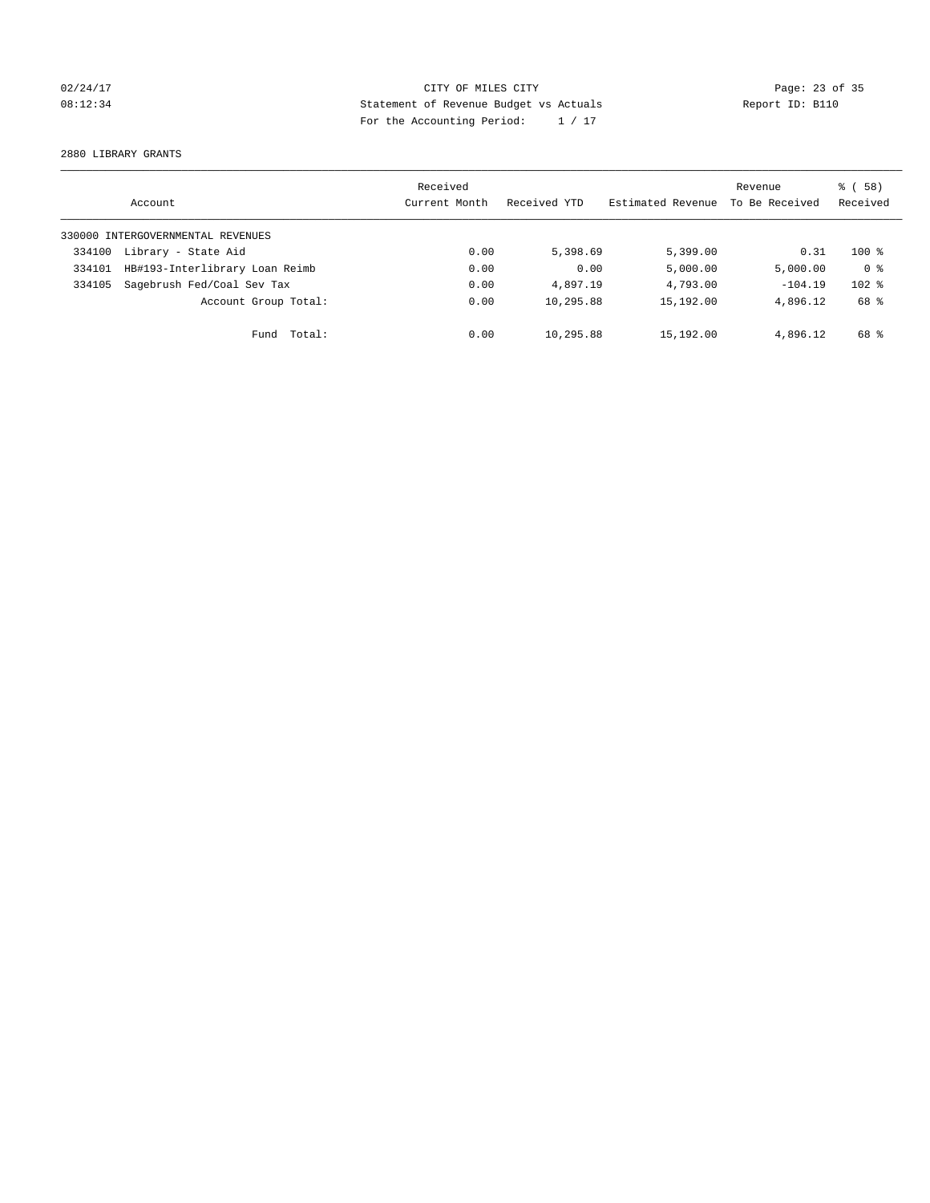## 02/24/17 Page: 23 of 35 08:12:34 Statement of Revenue Budget vs Actuals Report ID: B110 For the Accounting Period: 1 / 17

2880 LIBRARY GRANTS

|        | Account                           | Received<br>Current Month | Received YTD | Estimated Revenue | Revenue<br>To Be Received | % (58)<br>Received |
|--------|-----------------------------------|---------------------------|--------------|-------------------|---------------------------|--------------------|
|        | 330000 INTERGOVERNMENTAL REVENUES |                           |              |                   |                           |                    |
| 334100 | Library - State Aid               | 0.00                      | 5,398.69     | 5,399.00          | 0.31                      | $100*$             |
| 334101 | HB#193-Interlibrary Loan Reimb    | 0.00                      | 0.00         | 5,000.00          | 5,000.00                  | 0 <sup>8</sup>     |
| 334105 | Sagebrush Fed/Coal Sev Tax        | 0.00                      | 4,897.19     | 4,793.00          | $-104.19$                 | $102$ %            |
|        | Account Group Total:              | 0.00                      | 10,295.88    | 15,192.00         | 4,896.12                  | 68 %               |
|        | Fund Total:                       | 0.00                      | 10,295.88    | 15,192.00         | 4,896.12                  | 68 %               |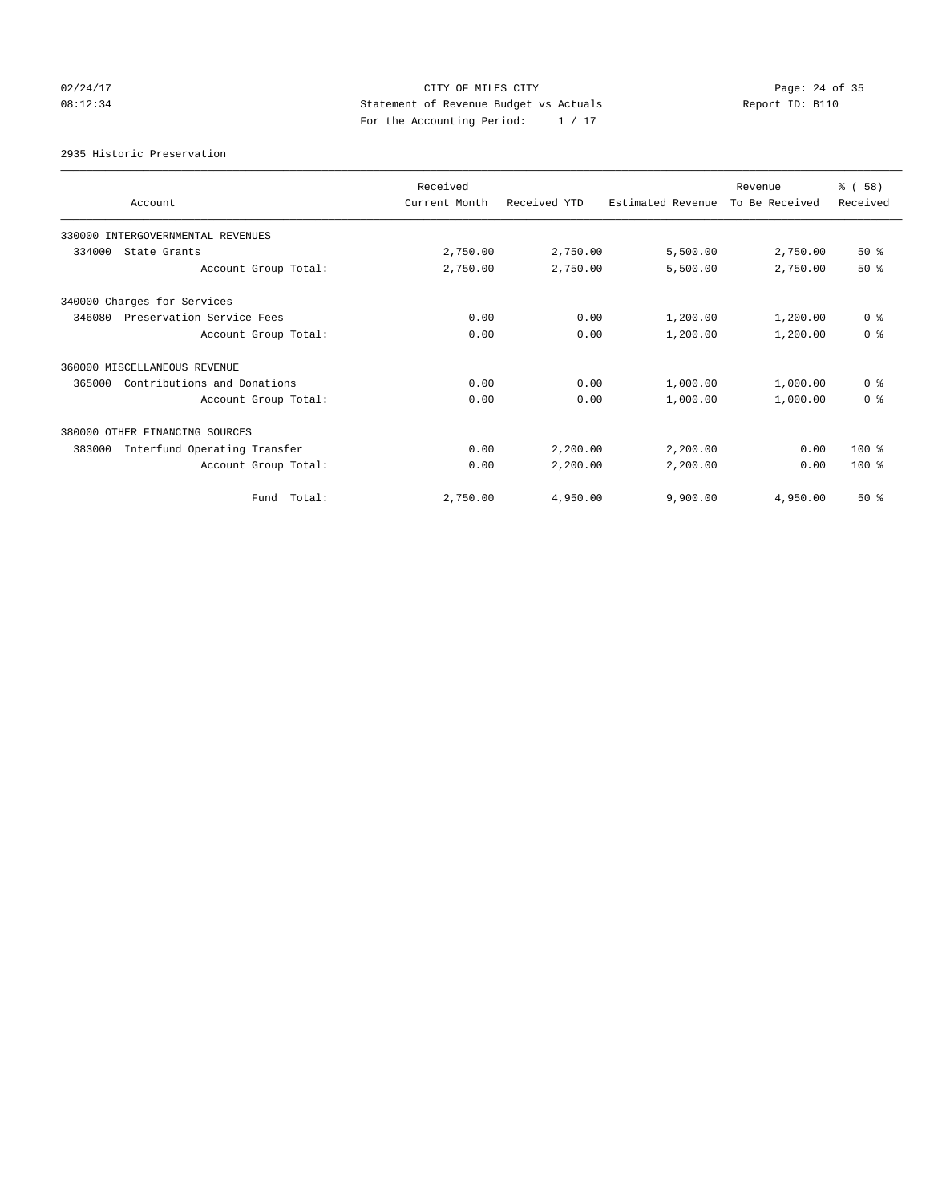## 02/24/17 Page: 24 of 35 08:12:34 Statement of Revenue Budget vs Actuals Report ID: B110 For the Accounting Period: 1 / 17

2935 Historic Preservation

| Account                                | Received<br>Current Month | Received YTD | Estimated Revenue | Revenue<br>To Be Received | % (58)<br>Received |
|----------------------------------------|---------------------------|--------------|-------------------|---------------------------|--------------------|
| 330000 INTERGOVERNMENTAL REVENUES      |                           |              |                   |                           |                    |
| 334000<br>State Grants                 | 2,750.00                  | 2,750.00     | 5,500.00          | 2,750.00                  | $50*$              |
| Account Group Total:                   | 2,750.00                  | 2,750.00     | 5,500.00          | 2,750.00                  | $50*$              |
| 340000 Charges for Services            |                           |              |                   |                           |                    |
| 346080<br>Preservation Service Fees    | 0.00                      | 0.00         | 1,200.00          | 1,200.00                  | 0 <sup>8</sup>     |
| Account Group Total:                   | 0.00                      | 0.00         | 1,200.00          | 1,200.00                  | 0 <sup>8</sup>     |
| 360000 MISCELLANEOUS REVENUE           |                           |              |                   |                           |                    |
| 365000<br>Contributions and Donations  | 0.00                      | 0.00         | 1,000.00          | 1,000.00                  | 0 <sup>8</sup>     |
| Account Group Total:                   | 0.00                      | 0.00         | 1,000.00          | 1,000.00                  | 0 <sup>8</sup>     |
| 380000 OTHER FINANCING SOURCES         |                           |              |                   |                           |                    |
| Interfund Operating Transfer<br>383000 | 0.00                      | 2,200.00     | 2,200.00          | 0.00                      | 100 %              |
| Account Group Total:                   | 0.00                      | 2,200.00     | 2,200.00          | 0.00                      | $100*$             |
| Fund Total:                            | 2,750.00                  | 4,950.00     | 9,900.00          | 4,950.00                  | 50%                |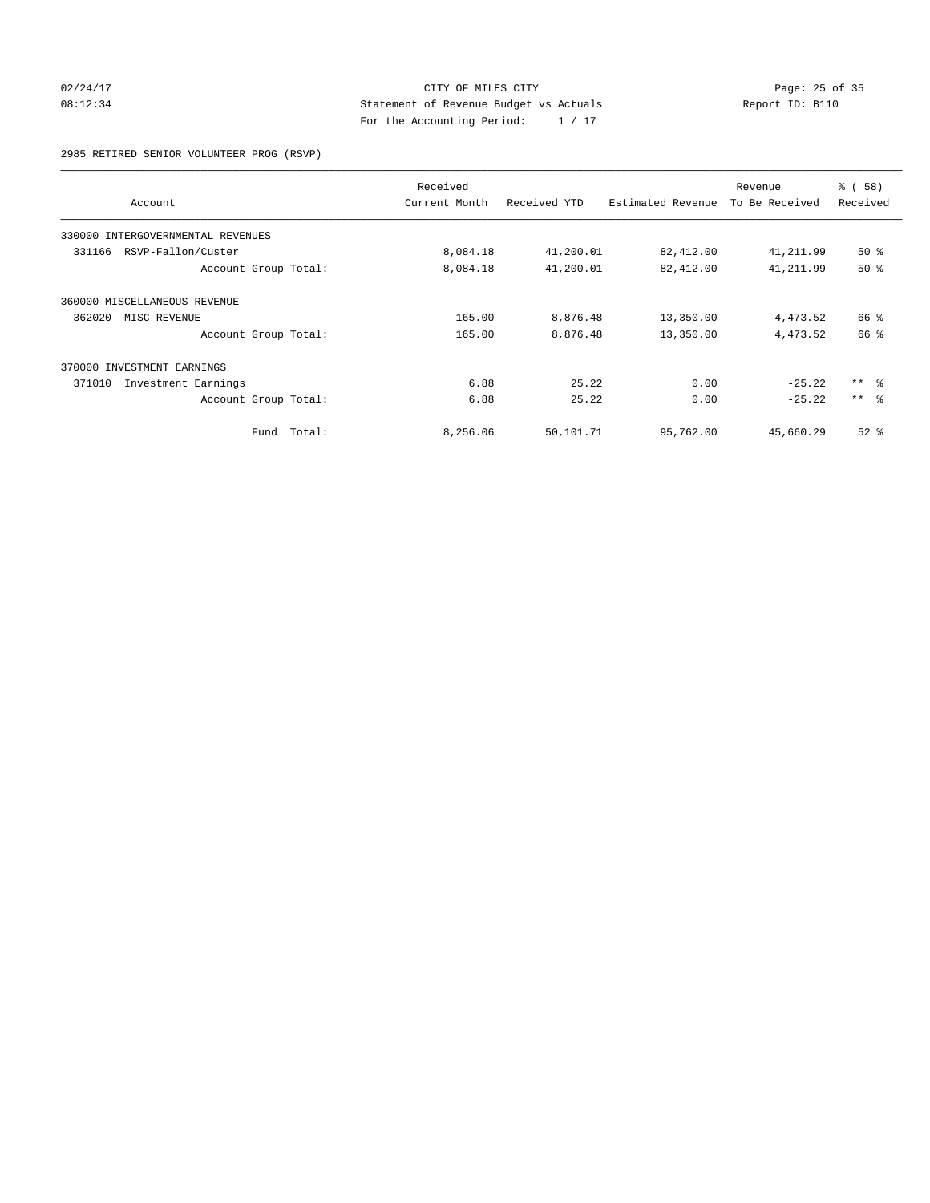## 02/24/17 Page: 25 of 35 08:12:34 Report ID: B110 For the Accounting Period: 1 / 17

2985 RETIRED SENIOR VOLUNTEER PROG (RSVP)

|                                      | Received |               |              | Revenue           | % (58)         |            |
|--------------------------------------|----------|---------------|--------------|-------------------|----------------|------------|
| Account                              |          | Current Month | Received YTD | Estimated Revenue | To Be Received | Received   |
| INTERGOVERNMENTAL REVENUES<br>330000 |          |               |              |                   |                |            |
| RSVP-Fallon/Custer<br>331166         |          | 8,084.18      | 41,200.01    | 82,412.00         | 41,211.99      | $50*$      |
| Account Group Total:                 |          | 8,084.18      | 41,200.01    | 82,412.00         | 41, 211.99     | 50%        |
| 360000 MISCELLANEOUS REVENUE         |          |               |              |                   |                |            |
| 362020<br>MISC REVENUE               |          | 165.00        | 8,876.48     | 13,350.00         | 4,473.52       | 66 %       |
| Account Group Total:                 |          | 165.00        | 8,876.48     | 13,350.00         | 4,473.52       | 66 %       |
| 370000 INVESTMENT EARNINGS           |          |               |              |                   |                |            |
| 371010<br>Investment Earnings        |          | 6.88          | 25.22        | 0.00              | $-25.22$       | $***$ $ -$ |
| Account Group Total:                 |          | 6.88          | 25.22        | 0.00              | $-25.22$       | $***$ $ -$ |
| Fund                                 | Total:   | 8,256.06      | 50,101.71    | 95,762.00         | 45,660.29      | $52$ $%$   |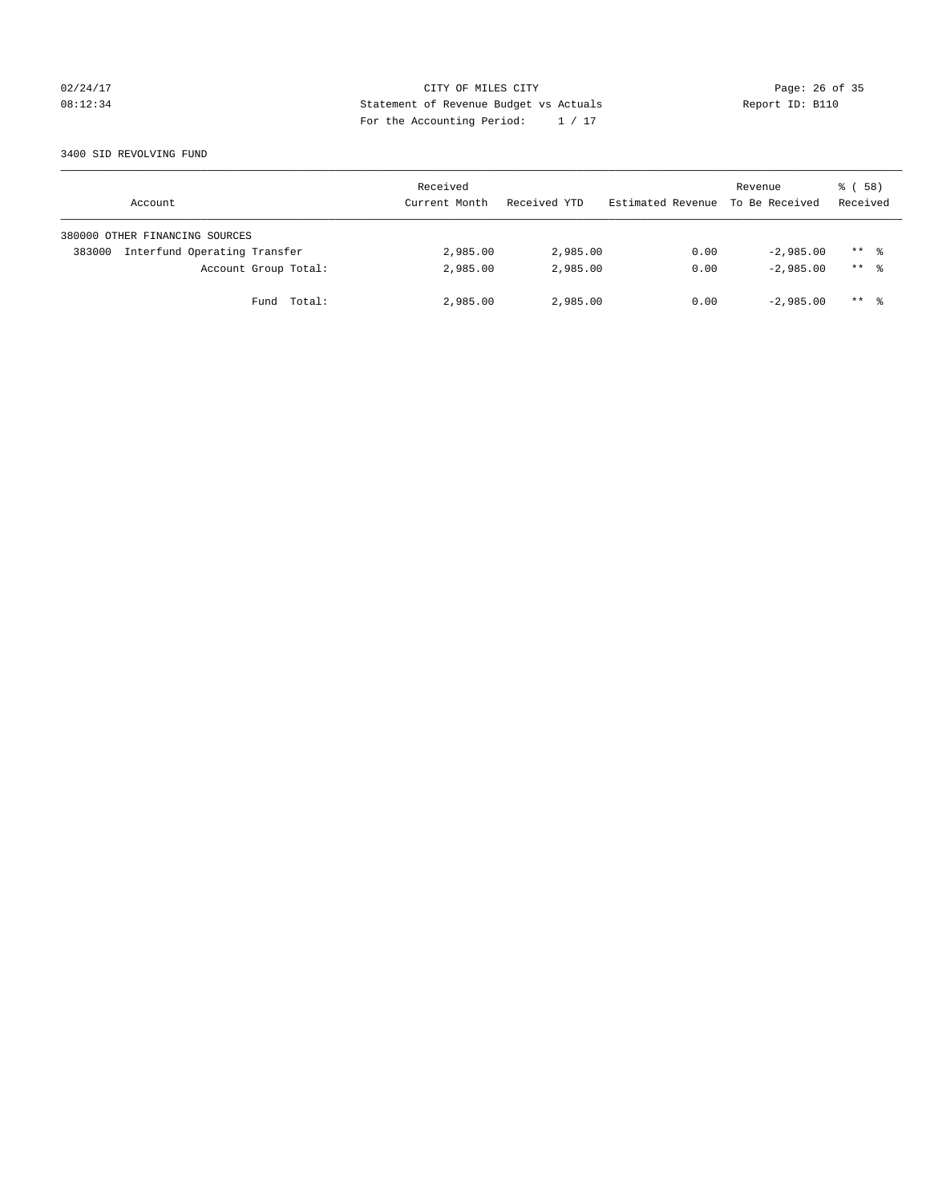## 02/24/17 Page: 26 of 35 08:12:34 Report ID: B110 For the Accounting Period: 1 / 17

### 3400 SID REVOLVING FUND

| Account                                | Received<br>Current Month | Received YTD | Estimated Revenue | Revenue<br>To Be Received | 8 ( 58 )<br>Received |
|----------------------------------------|---------------------------|--------------|-------------------|---------------------------|----------------------|
| 380000 OTHER FINANCING SOURCES         |                           |              |                   |                           |                      |
| Interfund Operating Transfer<br>383000 | 2,985.00                  | 2,985.00     | 0.00              | $-2.985.00$               | $***$ %              |
| Account Group Total:                   | 2,985.00                  | 2,985.00     | 0.00              | $-2.985.00$               | $***$ %              |
| Fund Total:                            | 2,985.00                  | 2,985.00     | 0.00              | $-2.985.00$               | $***$ 2              |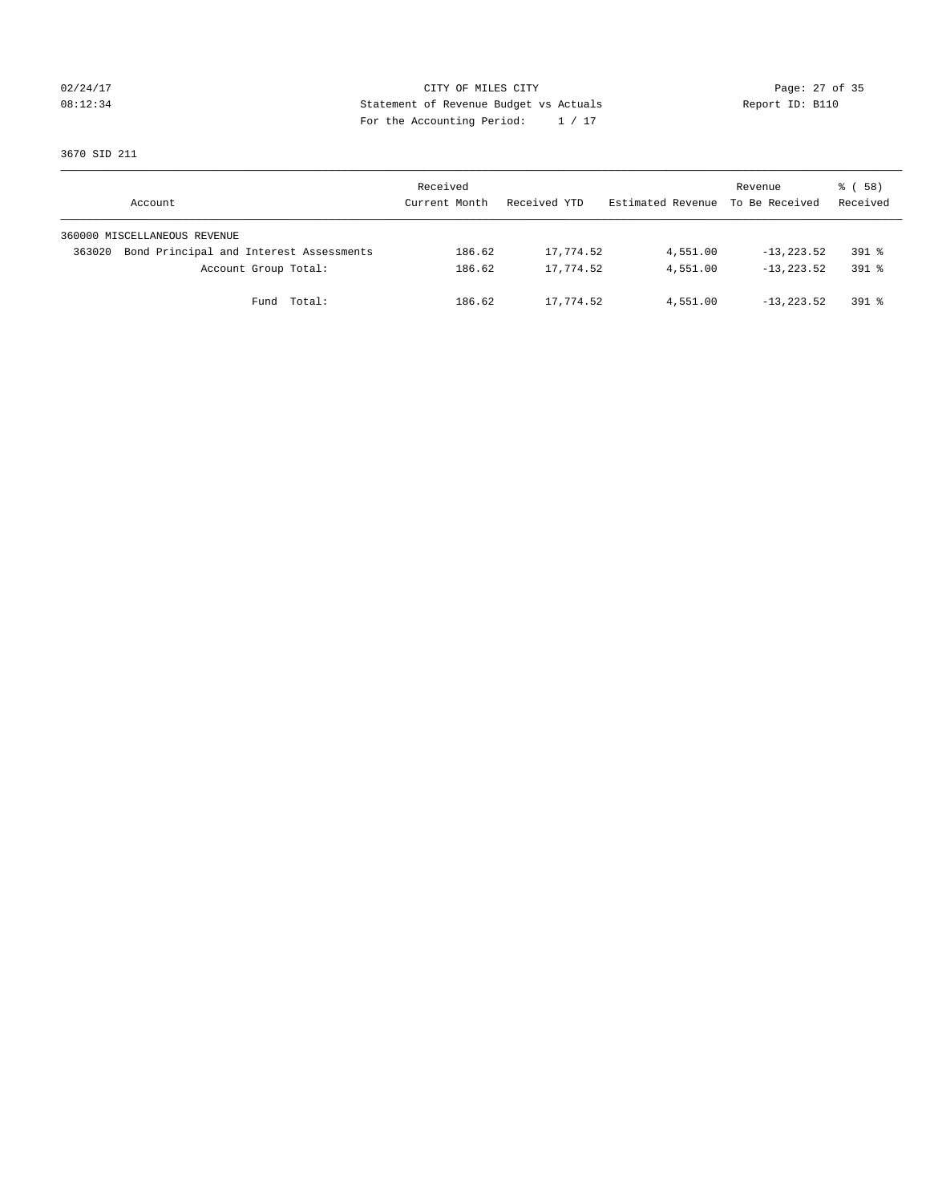## 02/24/17 Page: 27 of 35 08:12:34 Report ID: B110 For the Accounting Period: 1 / 17

3670 SID 211

| Account                                           | Received<br>Current Month | Received YTD | Estimated Revenue To Be Received | Revenue        | 8 ( 58 )<br>Received |
|---------------------------------------------------|---------------------------|--------------|----------------------------------|----------------|----------------------|
| 360000 MISCELLANEOUS REVENUE                      |                           |              |                                  |                |                      |
| Bond Principal and Interest Assessments<br>363020 | 186.62                    | 17,774.52    | 4,551.00                         | $-13, 223, 52$ | $391$ $%$            |
| Account Group Total:                              | 186.62                    | 17,774.52    | 4,551.00                         | $-13, 223, 52$ | $391$ $%$            |
| Fund Total:                                       | 186.62                    | 17,774.52    | 4,551.00                         | $-13, 223.52$  | 391 %                |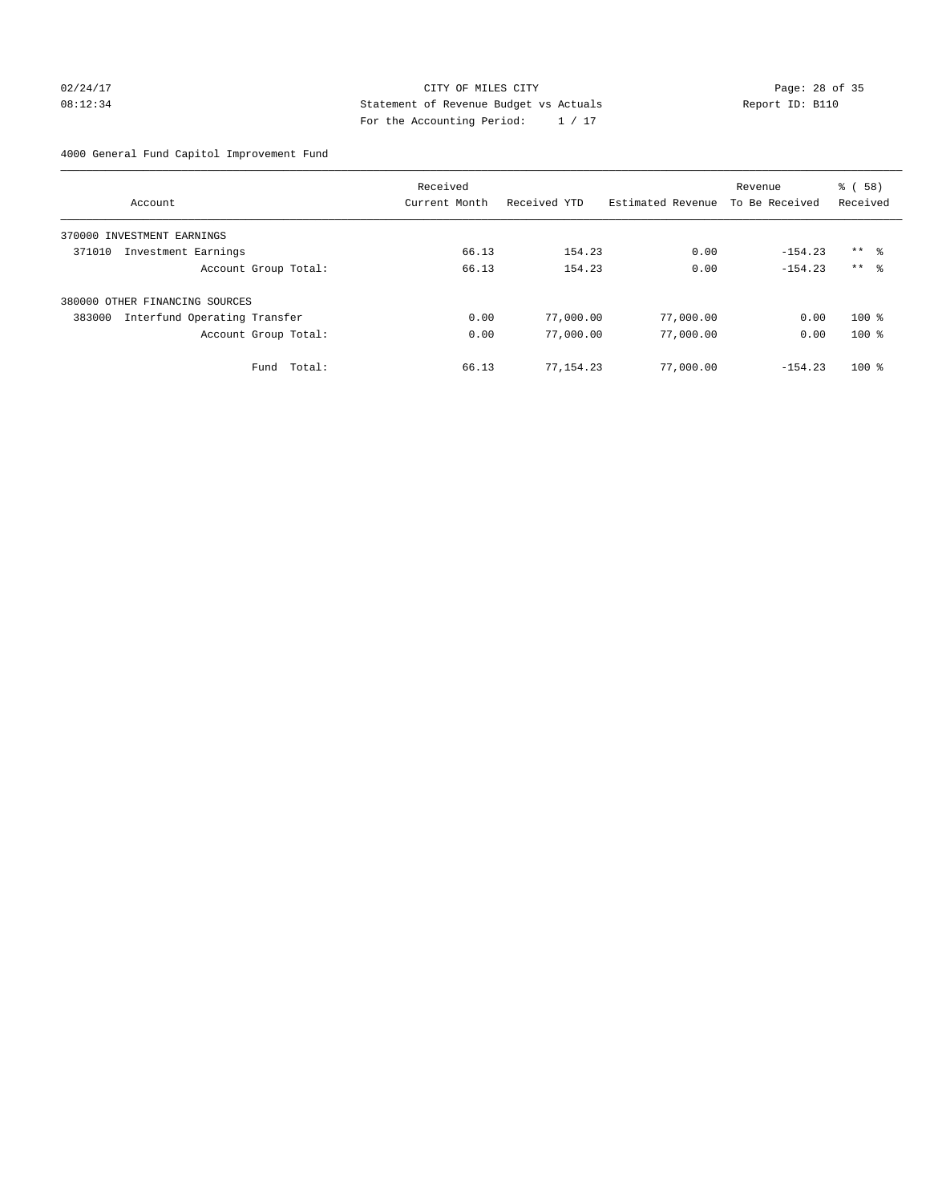## 02/24/17 Page: 28 of 35 08:12:34 Report ID: B110 For the Accounting Period: 1 / 17

4000 General Fund Capitol Improvement Fund

|                                        | Received      |              |                   | Revenue        | % (58)              |
|----------------------------------------|---------------|--------------|-------------------|----------------|---------------------|
| Account                                | Current Month | Received YTD | Estimated Revenue | To Be Received | Received            |
| INVESTMENT EARNINGS<br>370000          |               |              |                   |                |                     |
| 371010<br>Investment Earnings          | 66.13         | 154.23       | 0.00              | $-154.23$      | $***$ $\frac{6}{3}$ |
| Account Group Total:                   | 66.13         | 154.23       | 0.00              | $-154.23$      | $***$ $\approx$     |
| 380000 OTHER FINANCING SOURCES         |               |              |                   |                |                     |
| Interfund Operating Transfer<br>383000 | 0.00          | 77,000.00    | 77,000.00         | 0.00           | $100*$              |
| Account Group Total:                   | 0.00          | 77,000.00    | 77,000.00         | 0.00           | $100*$              |
| Total:<br>Fund                         | 66.13         | 77, 154.23   | 77,000.00         | $-154.23$      | $100*$              |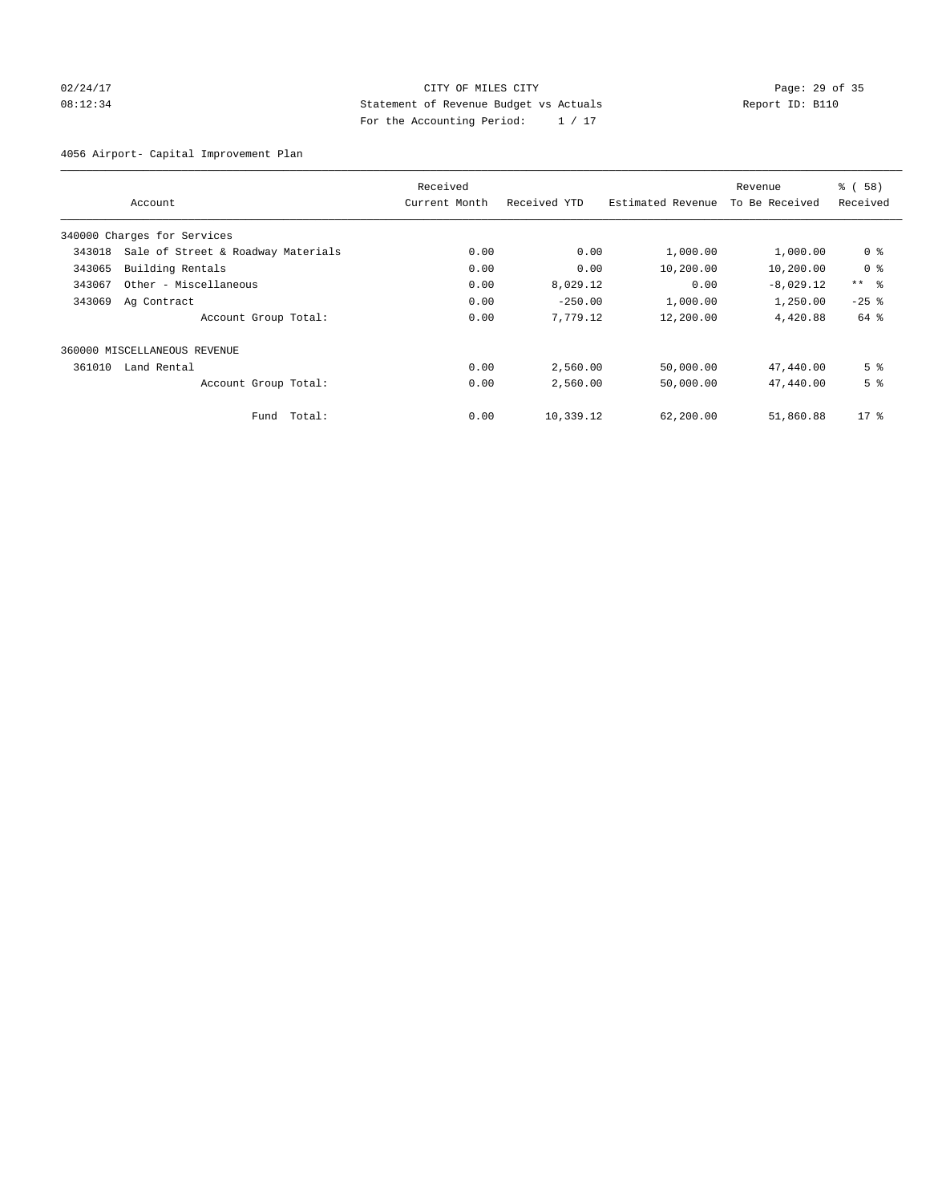## 02/24/17 Page: 29 of 35 08:12:34 Report ID: B110 For the Accounting Period: 1 / 17

4056 Airport- Capital Improvement Plan

|        |                                    | Received      |              |                   | Revenue        | % (58)          |
|--------|------------------------------------|---------------|--------------|-------------------|----------------|-----------------|
|        | Account                            | Current Month | Received YTD | Estimated Revenue | To Be Received | Received        |
|        | 340000 Charges for Services        |               |              |                   |                |                 |
| 343018 | Sale of Street & Roadway Materials | 0.00          | 0.00         | 1,000.00          | 1,000.00       | 0 <sup>8</sup>  |
| 343065 | Building Rentals                   | 0.00          | 0.00         | 10,200.00         | 10,200.00      | 0 <sup>8</sup>  |
| 343067 | Other - Miscellaneous              | 0.00          | 8,029.12     | 0.00              | $-8,029.12$    | $***$ $\approx$ |
| 343069 | Ag Contract                        | 0.00          | $-250.00$    | 1,000.00          | 1,250.00       | $-25$ $%$       |
|        | Account Group Total:               | 0.00          | 7,779.12     | 12,200.00         | 4,420.88       | 64 %            |
|        | 360000 MISCELLANEOUS REVENUE       |               |              |                   |                |                 |
| 361010 | Land Rental                        | 0.00          | 2,560.00     | 50,000.00         | 47,440.00      | 5 <sup>8</sup>  |
|        | Account Group Total:               | 0.00          | 2,560.00     | 50,000.00         | 47,440.00      | 5 <sup>8</sup>  |
|        | Total:<br>Fund                     | 0.00          | 10,339.12    | 62,200.00         | 51,860.88      | $17*$           |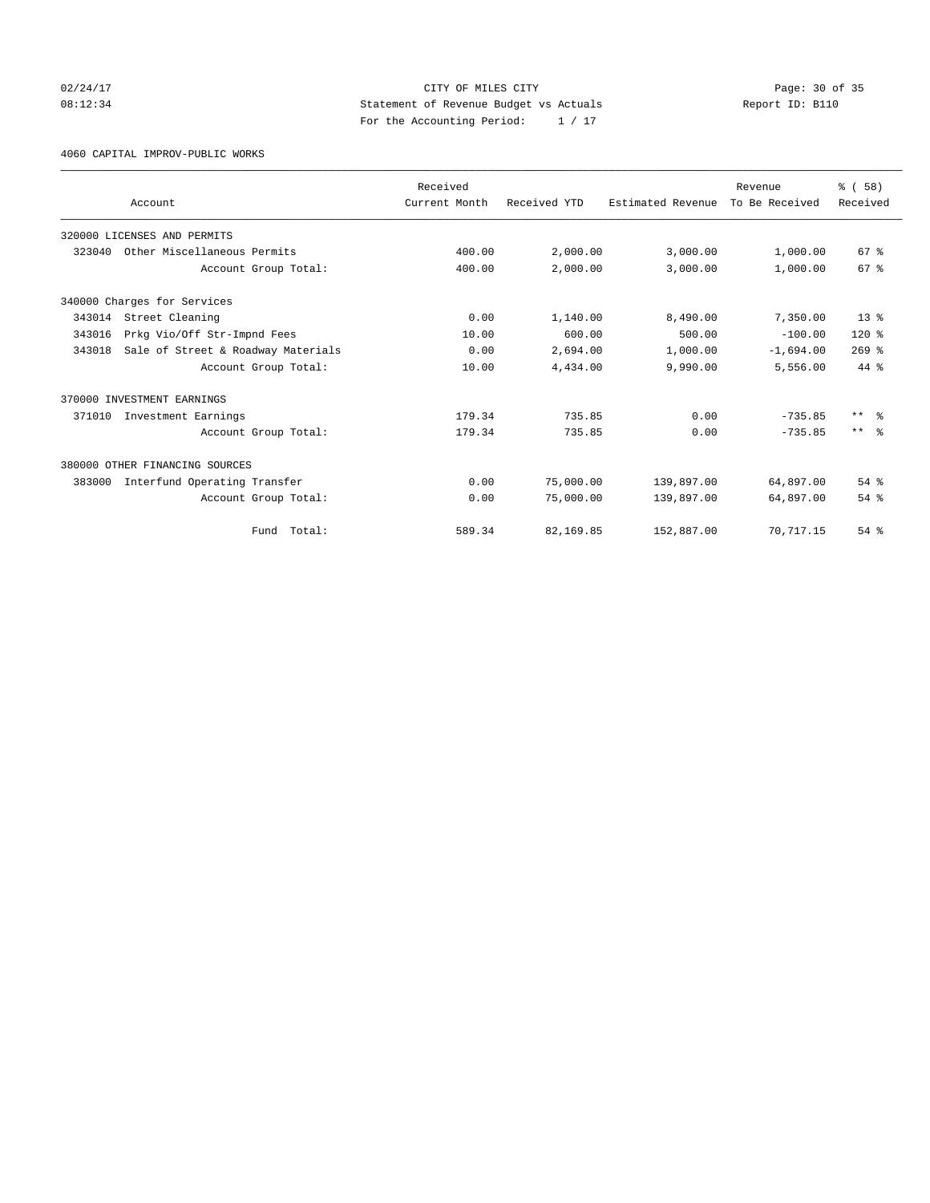02/24/17 Page: 30 of 35 08:12:34 Report ID: B110 For the Accounting Period: 1 / 17

4060 CAPITAL IMPROV-PUBLIC WORKS

|        |                                    | Received      |              |                   | Revenue        | % (58)          |
|--------|------------------------------------|---------------|--------------|-------------------|----------------|-----------------|
|        | Account                            | Current Month | Received YTD | Estimated Revenue | To Be Received | Received        |
|        | 320000 LICENSES AND PERMITS        |               |              |                   |                |                 |
| 323040 | Other Miscellaneous Permits        | 400.00        | 2,000.00     | 3,000.00          | 1,000.00       | 67 %            |
|        | Account Group Total:               | 400.00        | 2,000.00     | 3,000.00          | 1,000.00       | 67 <sup>8</sup> |
|        | 340000 Charges for Services        |               |              |                   |                |                 |
| 343014 | Street Cleaning                    | 0.00          | 1,140.00     | 8,490.00          | 7,350.00       | $13*$           |
| 343016 | Prkg Vio/Off Str-Impnd Fees        | 10.00         | 600.00       | 500.00            | $-100.00$      | $120*$          |
| 343018 | Sale of Street & Roadway Materials | 0.00          | 2,694.00     | 1,000.00          | $-1,694.00$    | $269$ $%$       |
|        | Account Group Total:               | 10.00         | 4,434.00     | 9,990.00          | 5,556.00       | 44 %            |
|        | 370000 INVESTMENT EARNINGS         |               |              |                   |                |                 |
| 371010 | Investment Earnings                | 179.34        | 735.85       | 0.00              | $-735.85$      | $***$ $\approx$ |
|        | Account Group Total:               | 179.34        | 735.85       | 0.00              | $-735.85$      | $***$ $\approx$ |
|        | 380000 OTHER FINANCING SOURCES     |               |              |                   |                |                 |
| 383000 | Interfund Operating Transfer       | 0.00          | 75,000.00    | 139,897.00        | 64,897.00      | 54 %            |
|        | Account Group Total:               | 0.00          | 75,000.00    | 139,897.00        | 64,897.00      | 54 %            |
|        | Total:<br>Fund                     | 589.34        | 82,169.85    | 152,887.00        | 70, 717.15     | $54$ $%$        |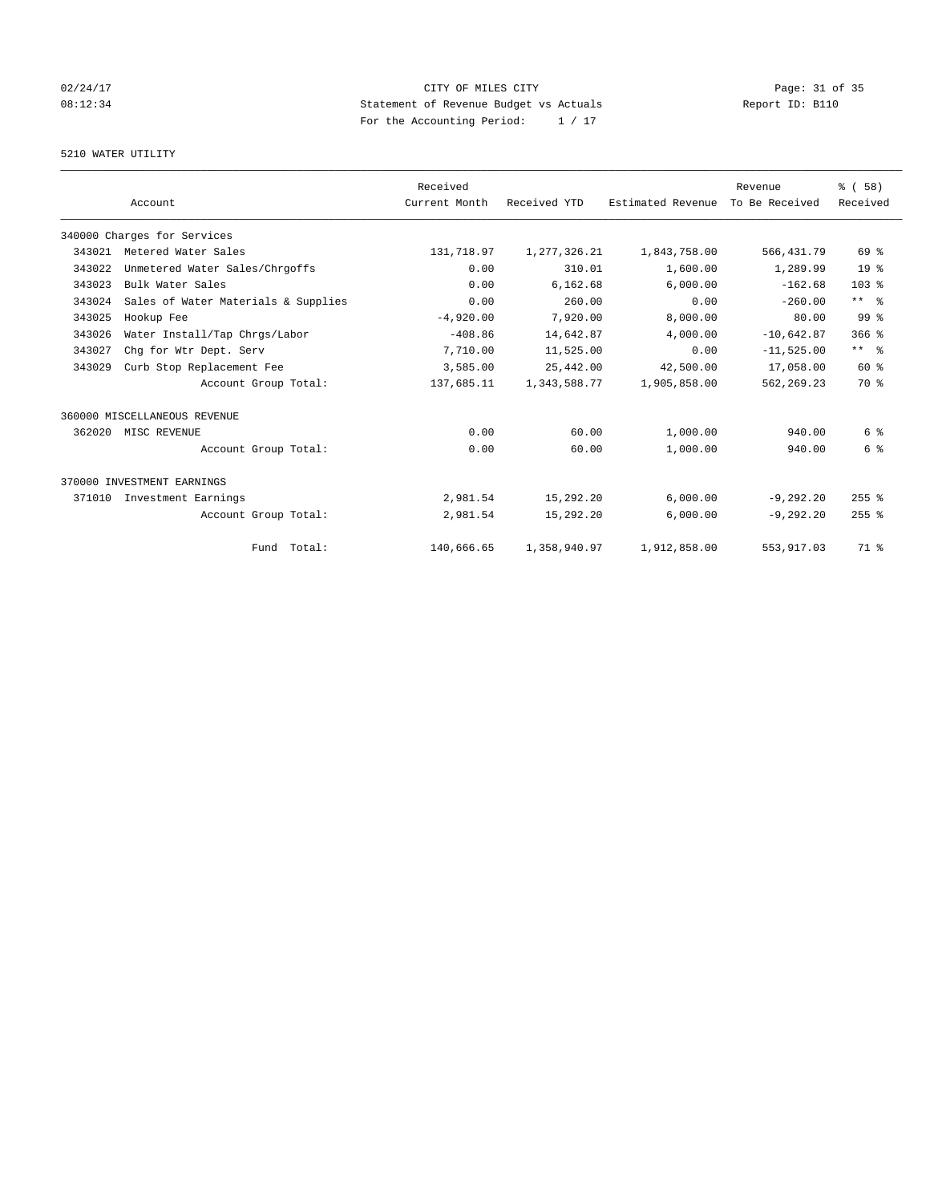# 02/24/17 Page: 31 of 35 08:12:34 Report ID: B110 For the Accounting Period: 1 / 17

## 5210 WATER UTILITY

|        |                                     | Received      |              |                   | Revenue        | % (58)          |
|--------|-------------------------------------|---------------|--------------|-------------------|----------------|-----------------|
|        | Account                             | Current Month | Received YTD | Estimated Revenue | To Be Received | Received        |
|        | 340000 Charges for Services         |               |              |                   |                |                 |
| 343021 | Metered Water Sales                 | 131,718.97    | 1,277,326.21 | 1,843,758.00      | 566, 431.79    | 69 %            |
| 343022 | Unmetered Water Sales/Chrgoffs      | 0.00          | 310.01       | 1,600.00          | 1,289.99       | 19 <sup>°</sup> |
| 343023 | Bulk Water Sales                    | 0.00          | 6,162.68     | 6,000.00          | $-162.68$      | 103 %           |
| 343024 | Sales of Water Materials & Supplies | 0.00          | 260.00       | 0.00              | $-260.00$      | $***$ $ -$      |
| 343025 | Hookup Fee                          | $-4,920.00$   | 7,920.00     | 8,000.00          | 80.00          | 99 <sup>8</sup> |
| 343026 | Water Install/Tap Chrgs/Labor       | $-408.86$     | 14,642.87    | 4,000.00          | $-10,642.87$   | $366$ $%$       |
| 343027 | Chq for Wtr Dept. Serv              | 7,710.00      | 11,525.00    | 0.00              | $-11,525.00$   | $***$ $ -$      |
| 343029 | Curb Stop Replacement Fee           | 3,585.00      | 25,442.00    | 42,500.00         | 17,058.00      | 60 %            |
|        | Account Group Total:                | 137,685.11    | 1,343,588.77 | 1,905,858.00      | 562, 269.23    | 70 %            |
|        | 360000 MISCELLANEOUS REVENUE        |               |              |                   |                |                 |
| 362020 | MISC REVENUE                        | 0.00          | 60.00        | 1,000.00          | 940.00         | 6 %             |
|        | Account Group Total:                | 0.00          | 60.00        | 1,000.00          | 940.00         | 6 %             |
|        | 370000 INVESTMENT EARNINGS          |               |              |                   |                |                 |
| 371010 | Investment Earnings                 | 2,981.54      | 15,292.20    | 6,000.00          | $-9, 292.20$   | $255$ %         |
|        | Account Group Total:                | 2,981.54      | 15,292.20    | 6,000.00          | $-9, 292.20$   | $255$ $%$       |
|        | Fund Total:                         | 140,666.65    | 1,358,940.97 | 1,912,858.00      | 553, 917.03    | 71 %            |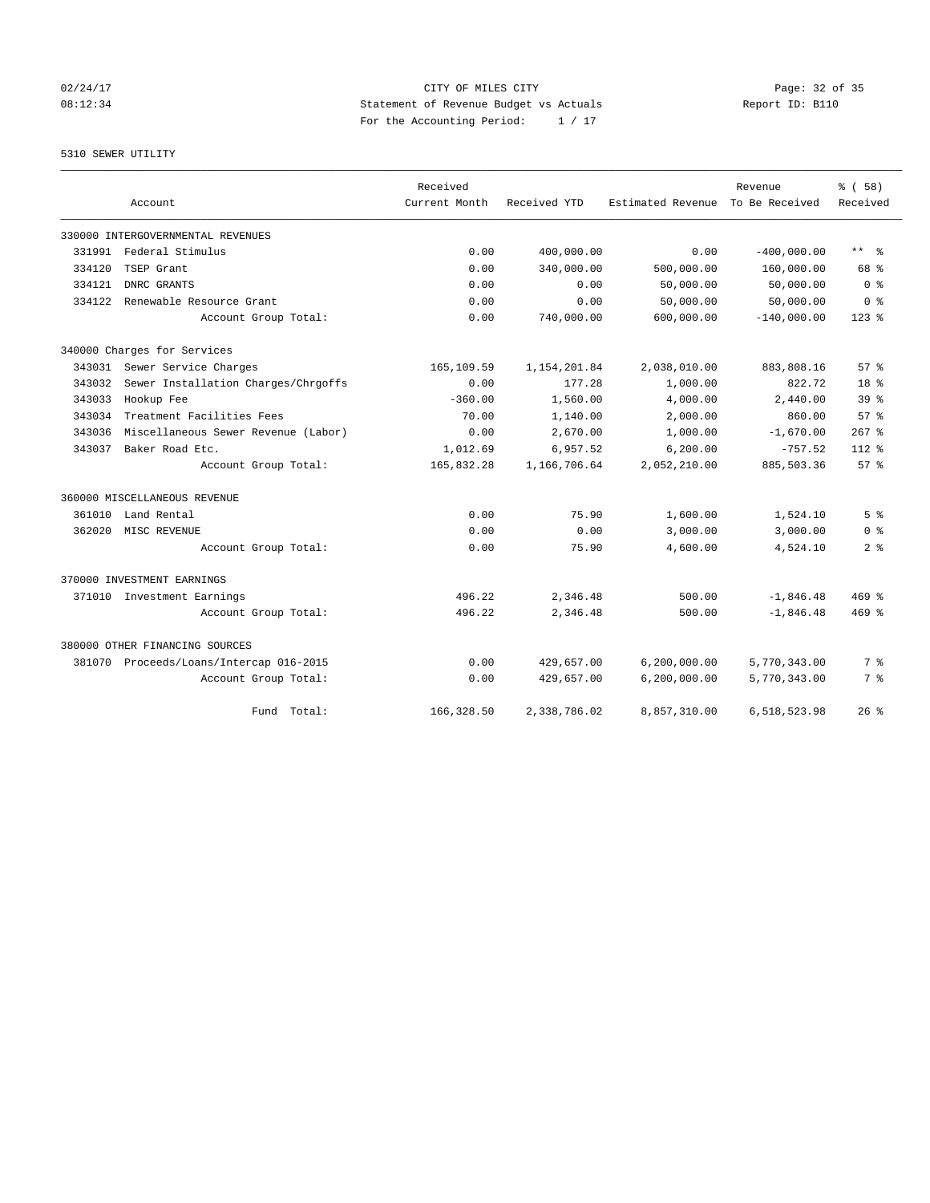## 02/24/17 Page: 32 of 35 08:12:34 Statement of Revenue Budget vs Actuals Report ID: B110 For the Accounting Period: 1 / 17

# 5310 SEWER UTILITY

|        |                                         | Received      |              |                   | Revenue        | % (58)          |
|--------|-----------------------------------------|---------------|--------------|-------------------|----------------|-----------------|
|        | Account                                 | Current Month | Received YTD | Estimated Revenue | To Be Received | Received        |
|        | 330000 INTERGOVERNMENTAL REVENUES       |               |              |                   |                |                 |
| 331991 | Federal Stimulus                        | 0.00          | 400,000.00   | 0.00              | $-400,000.00$  | $***$ $ -$      |
| 334120 | TSEP Grant                              | 0.00          | 340,000.00   | 500,000.00        | 160,000.00     | 68 %            |
| 334121 | DNRC GRANTS                             | 0.00          | 0.00         | 50,000.00         | 50,000.00      | 0 <sup>8</sup>  |
| 334122 | Renewable Resource Grant                | 0.00          | 0.00         | 50,000.00         | 50,000.00      | 0 <sup>8</sup>  |
|        | Account Group Total:                    | 0.00          | 740,000.00   | 600,000.00        | $-140,000.00$  | $123$ $%$       |
|        | 340000 Charges for Services             |               |              |                   |                |                 |
|        | 343031 Sewer Service Charges            | 165,109.59    | 1,154,201.84 | 2,038,010.00      | 883,808.16     | 57%             |
| 343032 | Sewer Installation Charges/Chrgoffs     | 0.00          | 177.28       | 1,000.00          | 822.72         | 18 %            |
| 343033 | Hookup Fee                              | $-360.00$     | 1,560.00     | 4,000.00          | 2,440.00       | 39 <sup>8</sup> |
| 343034 | Treatment Facilities Fees               | 70.00         | 1,140.00     | 2,000.00          | 860.00         | 57 <sup>8</sup> |
| 343036 | Miscellaneous Sewer Revenue (Labor)     | 0.00          | 2,670.00     | 1,000.00          | $-1,670.00$    | $267$ $%$       |
| 343037 | Baker Road Etc.                         | 1,012.69      | 6,957.52     | 6, 200.00         | $-757.52$      | 112.8           |
|        | Account Group Total:                    | 165,832.28    | 1,166,706.64 | 2,052,210.00      | 885,503.36     | 57%             |
|        | 360000 MISCELLANEOUS REVENUE            |               |              |                   |                |                 |
| 361010 | Land Rental                             | 0.00          | 75.90        | 1,600.00          | 1,524.10       | 5 <sup>8</sup>  |
| 362020 | MISC REVENUE                            | 0.00          | 0.00         | 3,000.00          | 3,000.00       | 0 <sup>8</sup>  |
|        | Account Group Total:                    | 0.00          | 75.90        | 4,600.00          | 4,524.10       | 2 <sup>8</sup>  |
|        | 370000 INVESTMENT EARNINGS              |               |              |                   |                |                 |
|        | 371010 Investment Earnings              | 496.22        | 2,346.48     | 500.00            | $-1,846.48$    | $469$ $%$       |
|        | Account Group Total:                    | 496.22        | 2.346.48     | 500.00            | $-1,846.48$    | $469$ $%$       |
|        | 380000 OTHER FINANCING SOURCES          |               |              |                   |                |                 |
|        | 381070 Proceeds/Loans/Intercap 016-2015 | 0.00          | 429,657.00   | 6, 200, 000.00    | 5,770,343.00   | 7 %             |
|        | Account Group Total:                    | 0.00          | 429,657.00   | 6,200,000.00      | 5,770,343.00   | 7 %             |
|        | Fund Total:                             | 166, 328.50   | 2,338,786.02 | 8,857,310.00      | 6,518,523.98   | $26$ $%$        |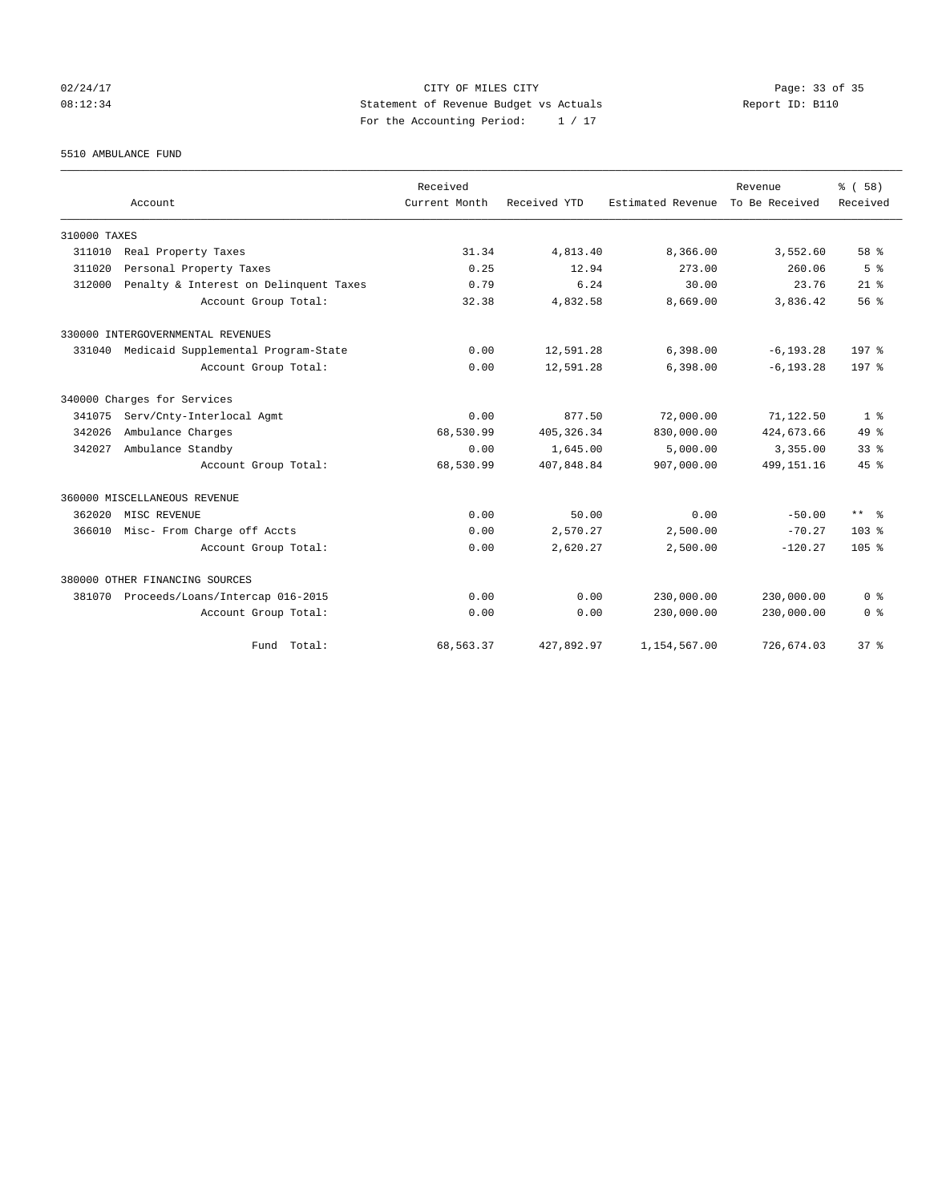## 02/24/17 Page: 33 of 35 08:12:34 Statement of Revenue Budget vs Actuals Report ID: B110 For the Accounting Period: 1 / 17

5510 AMBULANCE FUND

|              |                                            | Received      |              |                   | Revenue        | % (58)           |
|--------------|--------------------------------------------|---------------|--------------|-------------------|----------------|------------------|
|              | Account                                    | Current Month | Received YTD | Estimated Revenue | To Be Received | Received         |
| 310000 TAXES |                                            |               |              |                   |                |                  |
| 311010       | Real Property Taxes                        | 31.34         | 4,813.40     | 8,366.00          | 3,552.60       | 58 %             |
| 311020       | Personal Property Taxes                    | 0.25          | 12.94        | 273.00            | 260.06         | 5 <sup>8</sup>   |
| 312000       | Penalty & Interest on Delinquent Taxes     | 0.79          | 6.24         | 30.00             | 23.76          | $21$ $%$         |
|              | Account Group Total:                       | 32.38         | 4,832.58     | 8,669.00          | 3,836.42       | 56 <sup>8</sup>  |
|              | 330000 INTERGOVERNMENTAL REVENUES          |               |              |                   |                |                  |
|              | 331040 Medicaid Supplemental Program-State | 0.00          | 12,591.28    | 6,398.00          | $-6, 193.28$   | 197 <sub>8</sub> |
|              | Account Group Total:                       | 0.00          | 12,591.28    | 6,398.00          | $-6, 193.28$   | 197 <sub>8</sub> |
|              | 340000 Charges for Services                |               |              |                   |                |                  |
| 341075       | Serv/Cnty-Interlocal Agmt                  | 0.00          | 877.50       | 72,000.00         | 71,122.50      | 1 <sup>8</sup>   |
| 342026       | Ambulance Charges                          | 68,530.99     | 405, 326.34  | 830,000.00        | 424,673.66     | $49*$            |
| 342027       | Ambulance Standby                          | 0.00          | 1,645.00     | 5.000.00          | 3,355.00       | 33 <sup>8</sup>  |
|              | Account Group Total:                       | 68,530.99     | 407,848.84   | 907,000.00        | 499, 151. 16   | 45%              |
|              | 360000 MISCELLANEOUS REVENUE               |               |              |                   |                |                  |
| 362020       | MISC REVENUE                               | 0.00          | 50.00        | 0.00              | $-50.00$       | $***$ $ -$       |
| 366010       | Misc- From Charge off Accts                | 0.00          | 2,570.27     | 2,500.00          | $-70.27$       | 103 <sub>8</sub> |
|              | Account Group Total:                       | 0.00          | 2,620.27     | 2,500.00          | $-120.27$      | 105 <sub>8</sub> |
|              | 380000 OTHER FINANCING SOURCES             |               |              |                   |                |                  |
| 381070       | Proceeds/Loans/Intercap 016-2015           | 0.00          | 0.00         | 230,000.00        | 230,000.00     | 0 <sup>8</sup>   |
|              | Account Group Total:                       | 0.00          | 0.00         | 230,000.00        | 230,000.00     | 0 <sup>8</sup>   |
|              | Fund Total:                                | 68,563.37     | 427,892.97   | 1,154,567.00      | 726,674.03     | 37 <sup>8</sup>  |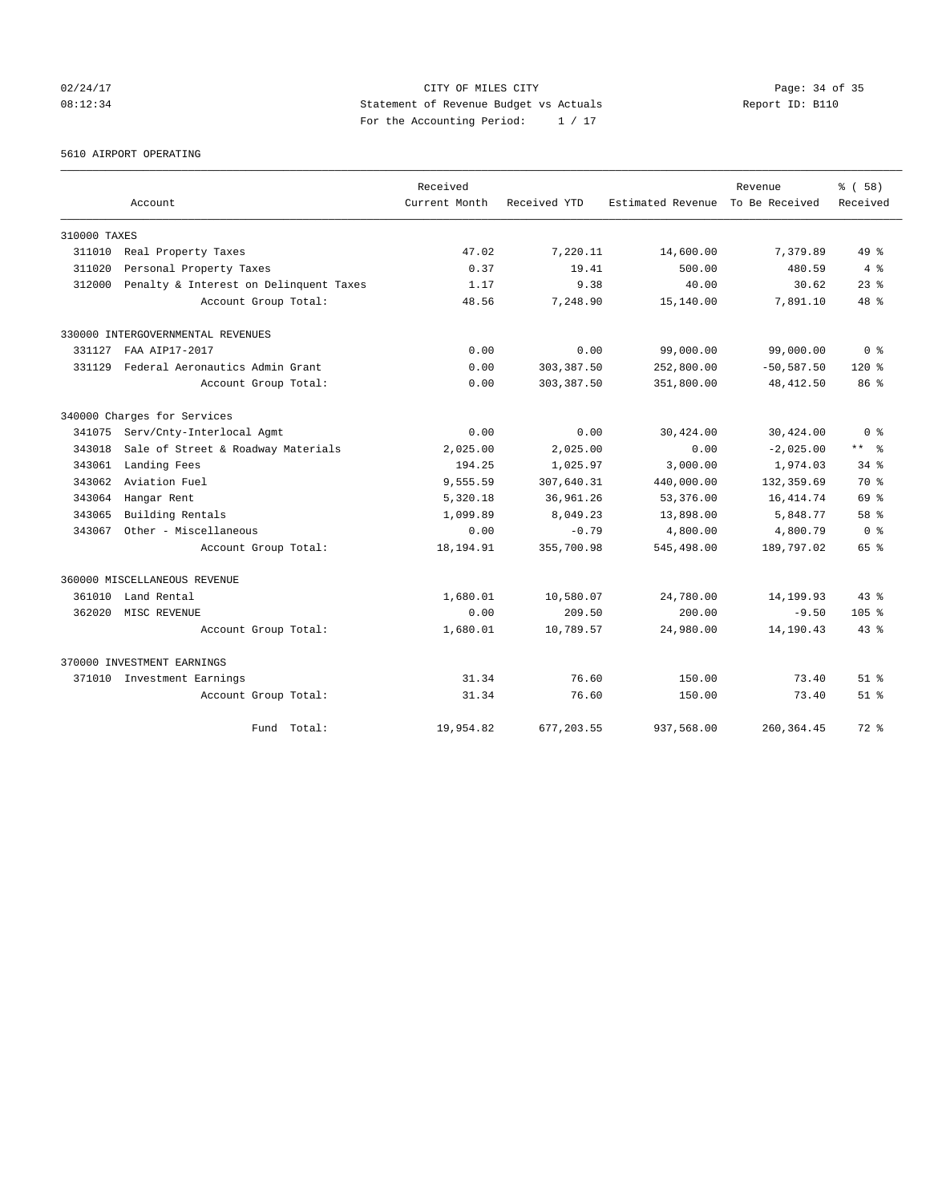02/24/17 Page: 34 of 35 08:12:34 Statement of Revenue Budget vs Actuals Report ID: B110 For the Accounting Period: 1 / 17

### 5610 AIRPORT OPERATING

|              |                                        | Received      |              |                                  | Revenue       | % (58)           |
|--------------|----------------------------------------|---------------|--------------|----------------------------------|---------------|------------------|
|              | Account                                | Current Month | Received YTD | Estimated Revenue To Be Received |               | Received         |
| 310000 TAXES |                                        |               |              |                                  |               |                  |
| 311010       | Real Property Taxes                    | 47.02         | 7,220.11     | 14,600.00                        | 7,379.89      | $49*$            |
| 311020       | Personal Property Taxes                | 0.37          | 19.41        | 500.00                           | 480.59        | 4%               |
| 312000       | Penalty & Interest on Delinquent Taxes | 1.17          | 9.38         | 40.00                            | 30.62         | $23$ $%$         |
|              | Account Group Total:                   | 48.56         | 7,248.90     | 15,140.00                        | 7,891.10      | 48 %             |
|              | 330000 INTERGOVERNMENTAL REVENUES      |               |              |                                  |               |                  |
| 331127       | FAA AIP17-2017                         | 0.00          | 0.00         | 99,000.00                        | 99,000.00     | 0 <sup>8</sup>   |
| 331129       | Federal Aeronautics Admin Grant        | 0.00          | 303,387.50   | 252,800.00                       | $-50, 587.50$ | $120*$           |
|              | Account Group Total:                   | 0.00          | 303, 387.50  | 351,800.00                       | 48, 412.50    | 86 %             |
|              | 340000 Charges for Services            |               |              |                                  |               |                  |
| 341075       | Serv/Cnty-Interlocal Agmt              | 0.00          | 0.00         | 30,424.00                        | 30,424.00     | 0 <sup>8</sup>   |
| 343018       | Sale of Street & Roadway Materials     | 2,025.00      | 2,025.00     | 0.00                             | $-2,025.00$   | ** *             |
| 343061       | Landing Fees                           | 194.25        | 1,025.97     | 3,000.00                         | 1,974.03      | $34*$            |
| 343062       | Aviation Fuel                          | 9,555.59      | 307,640.31   | 440,000.00                       | 132,359.69    | 70 %             |
| 343064       | Hangar Rent                            | 5,320.18      | 36,961.26    | 53,376.00                        | 16, 414.74    | 69 %             |
| 343065       | Building Rentals                       | 1,099.89      | 8,049.23     | 13,898.00                        | 5,848.77      | 58 %             |
| 343067       | Other - Miscellaneous                  | 0.00          | $-0.79$      | 4,800.00                         | 4,800.79      | 0 <sup>8</sup>   |
|              | Account Group Total:                   | 18,194.91     | 355,700.98   | 545,498.00                       | 189,797.02    | 65 %             |
|              | 360000 MISCELLANEOUS REVENUE           |               |              |                                  |               |                  |
| 361010       | Land Rental                            | 1,680.01      | 10,580.07    | 24,780.00                        | 14,199.93     | $43*$            |
| 362020       | MISC REVENUE                           | 0.00          | 209.50       | 200.00                           | $-9.50$       | 105 <sub>8</sub> |
|              | Account Group Total:                   | 1,680.01      | 10,789.57    | 24,980.00                        | 14,190.43     | $43*$            |
|              | 370000 INVESTMENT EARNINGS             |               |              |                                  |               |                  |
|              | 371010 Investment Earnings             | 31.34         | 76.60        | 150.00                           | 73.40         | $51$ %           |
|              | Account Group Total:                   | 31.34         | 76.60        | 150.00                           | 73.40         | $51$ $%$         |
|              | Total:<br>Fund                         | 19,954.82     | 677, 203.55  | 937,568.00                       | 260, 364.45   | $72*$            |